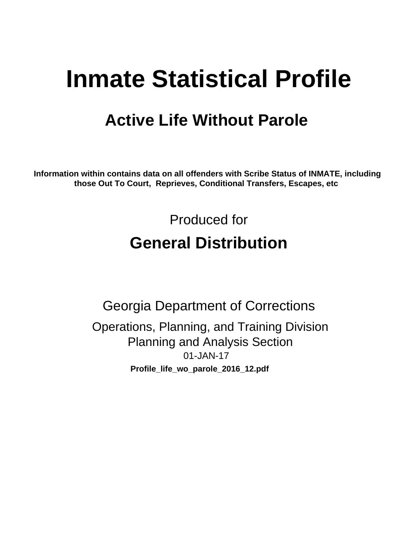# **Inmate Statistical Profile**

## **Active Life Without Parole**

Information within contains data on all offenders with Scribe Status of INMATE, including those Out To Court, Reprieves, Conditional Transfers, Escapes, etc

> Produced for **General Distribution**

**Georgia Department of Corrections** Operations, Planning, and Training Division **Planning and Analysis Section** 01-JAN-17 Profile\_life\_wo\_parole\_2016\_12.pdf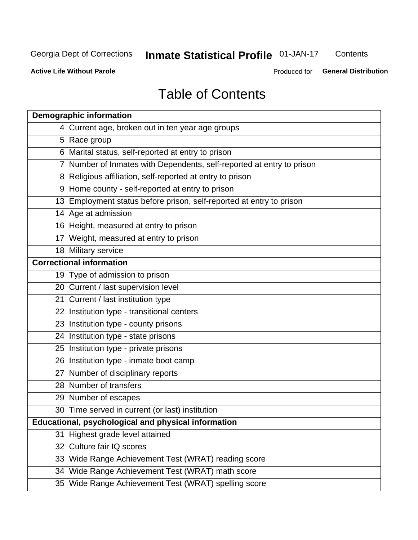## **Inmate Statistical Profile 01-JAN-17**

Contents

**Active Life Without Parole** 

Produced for General Distribution

## **Table of Contents**

| <b>Demographic information</b>                                        |
|-----------------------------------------------------------------------|
| 4 Current age, broken out in ten year age groups                      |
| 5 Race group                                                          |
| 6 Marital status, self-reported at entry to prison                    |
| 7 Number of Inmates with Dependents, self-reported at entry to prison |
| 8 Religious affiliation, self-reported at entry to prison             |
| 9 Home county - self-reported at entry to prison                      |
| 13 Employment status before prison, self-reported at entry to prison  |
| 14 Age at admission                                                   |
| 16 Height, measured at entry to prison                                |
| 17 Weight, measured at entry to prison                                |
| 18 Military service                                                   |
| <b>Correctional information</b>                                       |
| 19 Type of admission to prison                                        |
| 20 Current / last supervision level                                   |
| 21 Current / last institution type                                    |
| 22 Institution type - transitional centers                            |
| 23 Institution type - county prisons                                  |
| 24 Institution type - state prisons                                   |
| 25 Institution type - private prisons                                 |
| 26 Institution type - inmate boot camp                                |
| 27 Number of disciplinary reports                                     |
| 28 Number of transfers                                                |
| 29 Number of escapes                                                  |
| 30 Time served in current (or last) institution                       |
| Educational, psychological and physical information                   |
| 31 Highest grade level attained                                       |
| 32 Culture fair IQ scores                                             |
| 33 Wide Range Achievement Test (WRAT) reading score                   |
| 34 Wide Range Achievement Test (WRAT) math score                      |
| 35 Wide Range Achievement Test (WRAT) spelling score                  |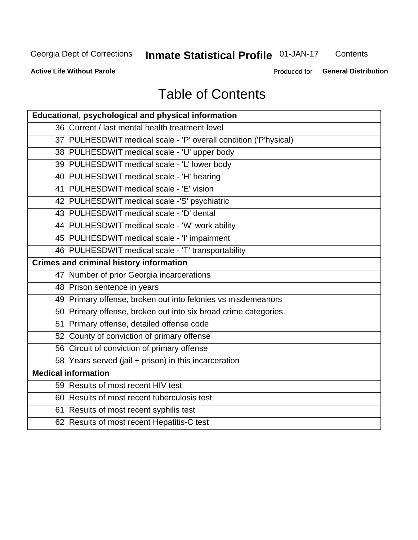## **Inmate Statistical Profile 01-JAN-17**

Contents

**Active Life Without Parole** 

Produced for General Distribution

## **Table of Contents**

| Educational, psychological and physical information              |
|------------------------------------------------------------------|
| 36 Current / last mental health treatment level                  |
| 37 PULHESDWIT medical scale - 'P' overall condition ('P'hysical) |
| 38 PULHESDWIT medical scale - 'U' upper body                     |
| 39 PULHESDWIT medical scale - 'L' lower body                     |
| 40 PULHESDWIT medical scale - 'H' hearing                        |
| 41 PULHESDWIT medical scale - 'E' vision                         |
| 42 PULHESDWIT medical scale -'S' psychiatric                     |
| 43 PULHESDWIT medical scale - 'D' dental                         |
| 44 PULHESDWIT medical scale - 'W' work ability                   |
| 45 PULHESDWIT medical scale - 'I' impairment                     |
| 46 PULHESDWIT medical scale - 'T' transportability               |
| <b>Crimes and criminal history information</b>                   |
| 47 Number of prior Georgia incarcerations                        |
| 48 Prison sentence in years                                      |
| 49 Primary offense, broken out into felonies vs misdemeanors     |
| 50 Primary offense, broken out into six broad crime categories   |
| 51 Primary offense, detailed offense code                        |
| 52 County of conviction of primary offense                       |
| 56 Circuit of conviction of primary offense                      |
| 58 Years served (jail + prison) in this incarceration            |
| <b>Medical information</b>                                       |
| 59 Results of most recent HIV test                               |
| 60 Results of most recent tuberculosis test                      |
| 61 Results of most recent syphilis test                          |
| 62 Results of most recent Hepatitis-C test                       |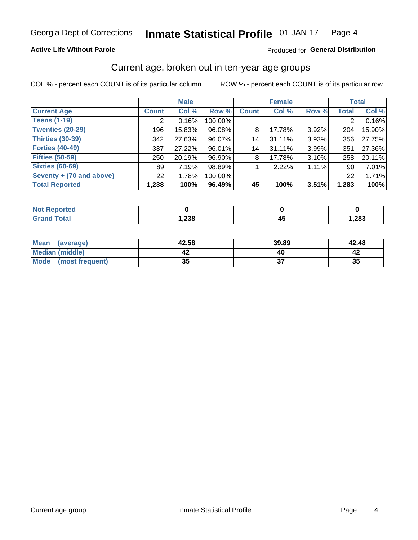### **Active Life Without Parole**

### Produced for General Distribution

## Current age, broken out in ten-year age groups

COL % - percent each COUNT is of its particular column

|                          |                 | <b>Male</b> |         | <b>Female</b> |        |       | <b>Total</b> |        |
|--------------------------|-----------------|-------------|---------|---------------|--------|-------|--------------|--------|
| <b>Current Age</b>       | <b>Count</b>    | Col %       | Row %   | <b>Count</b>  | Col %  | Row % | <b>Total</b> | Col %  |
| <b>Teens (1-19)</b>      | ◠               | 0.16%       | 100.00% |               |        |       | 2            | 0.16%  |
| <b>Twenties (20-29)</b>  | 196             | 15.83%      | 96.08%  | 8             | 17.78% | 3.92% | 204          | 15.90% |
| Thirties (30-39)         | 342             | 27.63%      | 96.07%  | 14            | 31.11% | 3.93% | 356          | 27.75% |
| <b>Forties (40-49)</b>   | 337             | 27.22%      | 96.01%  | 14            | 31.11% | 3.99% | 351          | 27.36% |
| <b>Fifties (50-59)</b>   | 250             | 20.19%      | 96.90%  | 8             | 17.78% | 3.10% | 258          | 20.11% |
| <b>Sixties (60-69)</b>   | 89              | 7.19%       | 98.89%  |               | 2.22%  | 1.11% | 90           | 7.01%  |
| Seventy + (70 and above) | 22 <sub>1</sub> | 1.78%       | 100.00% |               |        |       | 22           | 1.71%  |
| <b>Total Reported</b>    | 1,238           | 100%        | 96.49%  | 45            | 100%   | 3.51% | 1,283        | 100%   |

| orted<br>. <b>.</b> |       |   |      |
|---------------------|-------|---|------|
| <b>Total</b>        | 1,238 | ᠇ | ,283 |

| <b>Mean</b><br>(average) | 42.58    | 39.89 | 42.48 |
|--------------------------|----------|-------|-------|
| Median (middle)          |          |       |       |
| Mode<br>(most frequent)  | 25<br>vu |       | 35    |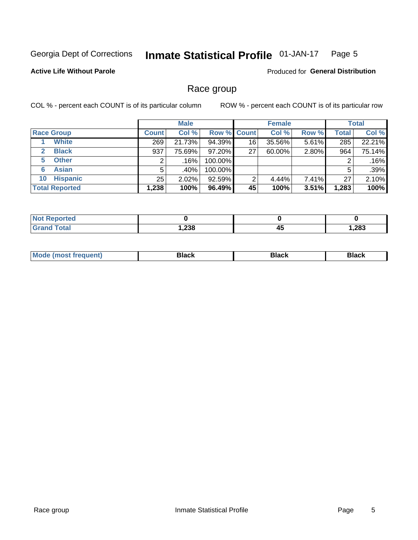#### **Inmate Statistical Profile 01-JAN-17** Page 5

### **Active Life Without Parole**

**Produced for General Distribution** 

## Race group

COL % - percent each COUNT is of its particular column

|                              |              | <b>Male</b> |         | <b>Female</b>      |        |       | <b>Total</b> |        |
|------------------------------|--------------|-------------|---------|--------------------|--------|-------|--------------|--------|
| <b>Race Group</b>            | <b>Count</b> | Col %       |         | <b>Row % Count</b> | Col %  | Row % | <b>Total</b> | Col %  |
| <b>White</b>                 | 269          | 21.73%      | 94.39%  | 16                 | 35.56% | 5.61% | 285          | 22.21% |
| <b>Black</b><br>$\mathbf{2}$ | 937          | 75.69%      | 97.20%  | 27                 | 60.00% | 2.80% | 964          | 75.14% |
| <b>Other</b><br>5.           |              | .16%        | 100.00% |                    |        |       | 2            | .16%   |
| <b>Asian</b><br>6            | 5            | .40% !      | 100.00% |                    |        |       | 5            | .39%   |
| <b>Hispanic</b><br>10        | 25           | $2.02\%$    | 92.59%  | 2                  | 4.44%  | 7.41% | 27           | 2.10%  |
| <b>Total Reported</b>        | 1,238        | 100%        | 96.49%  | 45                 | 100%   | 3.51% | 1,283        | 100%   |

| тео |                    |           |        |
|-----|--------------------|-----------|--------|
|     | റാറ<br><b>0د∡.</b> | - -<br>43 | 283, ا |

| M | - - - |  |
|---|-------|--|
|   |       |  |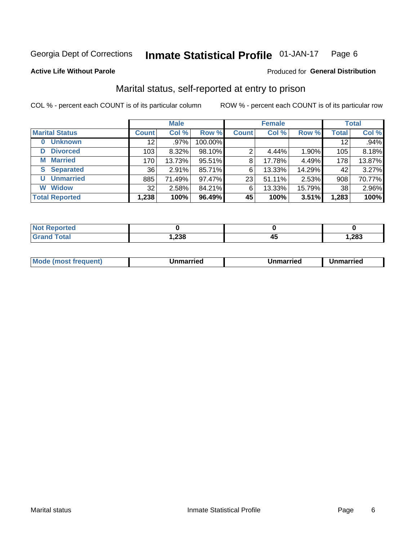#### **Inmate Statistical Profile 01-JAN-17** Page 6

#### **Active Life Without Parole**

### Produced for General Distribution

## Marital status, self-reported at entry to prison

COL % - percent each COUNT is of its particular column

|                            | <b>Male</b>     |        |         | <b>Female</b>  |        |        | <b>Total</b> |        |
|----------------------------|-----------------|--------|---------|----------------|--------|--------|--------------|--------|
| <b>Marital Status</b>      | <b>Count</b>    | Col %  | Row %   | <b>Count</b>   | Col %  | Row %  | <b>Total</b> | Col %  |
| <b>Unknown</b><br>$\bf{0}$ | 12 <sup>2</sup> | .97%   | 100.00% |                |        |        | 12           | .94%   |
| <b>Divorced</b><br>D       | 103             | 8.32%  | 98.10%  | $\overline{2}$ | 4.44%  | 1.90%  | 105          | 8.18%  |
| <b>Married</b><br>м        | 170             | 13.73% | 95.51%  | 8              | 17.78% | 4.49%  | 178          | 13.87% |
| <b>Separated</b><br>S.     | 36              | 2.91%  | 85.71%  | 6              | 13.33% | 14.29% | 42           | 3.27%  |
| <b>Unmarried</b><br>U      | 885             | 71.49% | 97.47%  | 23             | 51.11% | 2.53%  | 908          | 70.77% |
| <b>Widow</b><br>W          | 32              | 2.58%  | 84.21%  | 6              | 13.33% | 15.79% | 38           | 2.96%  |
| <b>Total Reported</b>      | 1,238           | 100%   | 96.49%  | 45             | 100%   | 3.51%  | 1,283        | 100%   |

| <b>Not Reported</b> |       |       |
|---------------------|-------|-------|
| <b>Total</b>        | 1,238 | 1,283 |

|--|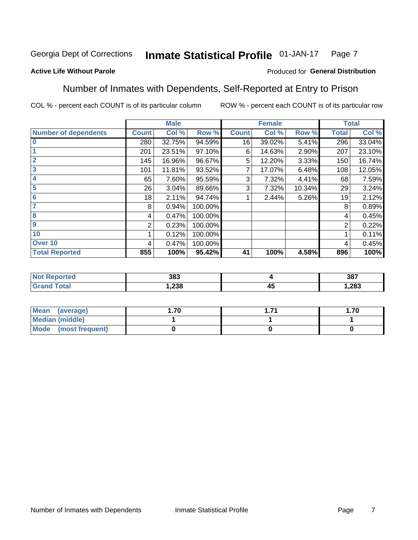#### Inmate Statistical Profile 01-JAN-17 Page 7

### **Active Life Without Parole**

### Produced for General Distribution

## Number of Inmates with Dependents, Self-Reported at Entry to Prison

COL % - percent each COUNT is of its particular column

|                             |              | <b>Male</b> |         |              | <b>Female</b> |        |              | <b>Total</b> |
|-----------------------------|--------------|-------------|---------|--------------|---------------|--------|--------------|--------------|
| <b>Number of dependents</b> | <b>Count</b> | Col %       | Row %   | <b>Count</b> | Col %         | Row %  | <b>Total</b> | Col %        |
| $\bf{0}$                    | 280          | 32.75%      | 94.59%  | 16           | 39.02%        | 5.41%  | 296          | 33.04%       |
|                             | 201          | 23.51%      | 97.10%  | 6            | 14.63%        | 2.90%  | 207          | 23.10%       |
| $\overline{2}$              | 145          | 16.96%      | 96.67%  | 5            | 12.20%        | 3.33%  | 150          | 16.74%       |
| 3                           | 101          | 11.81%      | 93.52%  |              | 17.07%        | 6.48%  | 108          | 12.05%       |
| 4                           | 65           | 7.60%       | 95.59%  | 3            | 7.32%         | 4.41%  | 68           | 7.59%        |
| 5                           | 26           | 3.04%       | 89.66%  | 3            | 7.32%         | 10.34% | 29           | 3.24%        |
| $6\phantom{1}6$             | 18           | 2.11%       | 94.74%  |              | 2.44%         | 5.26%  | 19           | 2.12%        |
| 7                           | 8            | 0.94%       | 100.00% |              |               |        | 8            | 0.89%        |
| $\overline{\mathbf{8}}$     | 4            | 0.47%       | 100.00% |              |               |        | 4            | 0.45%        |
| $\boldsymbol{9}$            | 2            | 0.23%       | 100.00% |              |               |        | 2            | 0.22%        |
| 10                          |              | 0.12%       | 100.00% |              |               |        |              | 0.11%        |
| Over 10                     | 4            | 0.47%       | 100.00% |              |               |        | 4            | 0.45%        |
| <b>Total Reported</b>       | 855          | 100%        | 95.42%  | 41           | 100%          | 4.58%  | 896          | 100%         |

| leu | 383  |                    | 387   |
|-----|------|--------------------|-------|
|     | .238 | $\mathbf{r}$<br>≖∾ | 1,283 |

| Mean (average)          | 1.70 | -74 | l.70 |
|-------------------------|------|-----|------|
| Median (middle)         |      |     |      |
| Mode<br>(most frequent) |      |     |      |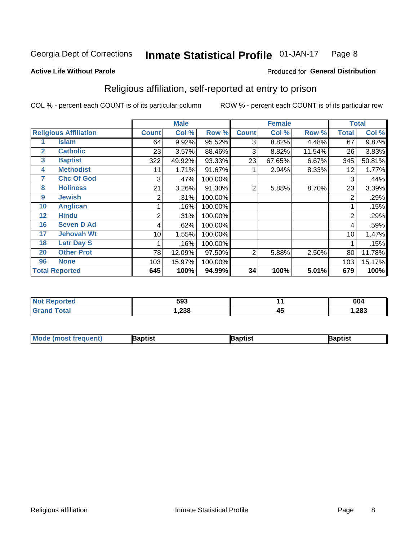#### Inmate Statistical Profile 01-JAN-17 Page 8

#### **Active Life Without Parole**

### Produced for General Distribution

## Religious affiliation, self-reported at entry to prison

COL % - percent each COUNT is of its particular column

|                              |                       | <b>Male</b>  |        | <b>Female</b> |              |        | <b>Total</b> |              |        |
|------------------------------|-----------------------|--------------|--------|---------------|--------------|--------|--------------|--------------|--------|
| <b>Religious Affiliation</b> |                       | <b>Count</b> | Col %  | Row %         | <b>Count</b> | Col %  | Row %        | <b>Total</b> | Col %  |
|                              | Islam                 | 64           | 9.92%  | 95.52%        | 3            | 8.82%  | 4.48%        | 67           | 9.87%  |
| $\mathbf{2}$                 | <b>Catholic</b>       | 23           | 3.57%  | 88.46%        | 3            | 8.82%  | 11.54%       | 26           | 3.83%  |
| 3                            | <b>Baptist</b>        | 322          | 49.92% | 93.33%        | 23           | 67.65% | 6.67%        | 345          | 50.81% |
| 4                            | <b>Methodist</b>      | 11           | 1.71%  | 91.67%        |              | 2.94%  | 8.33%        | 12           | 1.77%  |
| 7                            | <b>Chc Of God</b>     | 3            | .47%   | 100.00%       |              |        |              | 3            | .44%   |
| 8                            | <b>Holiness</b>       | 21           | 3.26%  | 91.30%        | 2            | 5.88%  | 8.70%        | 23           | 3.39%  |
| 9                            | <b>Jewish</b>         | 2            | .31%   | 100.00%       |              |        |              | 2            | .29%   |
| 10                           | <b>Anglican</b>       |              | .16%   | 100.00%       |              |        |              |              | .15%   |
| 12                           | <b>Hindu</b>          | 2            | .31%   | 100.00%       |              |        |              | 2            | .29%   |
| 16                           | <b>Seven D Ad</b>     | 4            | .62%   | 100.00%       |              |        |              | 4            | .59%   |
| 17                           | <b>Jehovah Wt</b>     | 10           | 1.55%  | 100.00%       |              |        |              | 10           | 1.47%  |
| 18                           | <b>Latr Day S</b>     |              | .16%   | 100.00%       |              |        |              |              | .15%   |
| 20                           | <b>Other Prot</b>     | 78           | 12.09% | 97.50%        | 2            | 5.88%  | 2.50%        | 80           | 11.78% |
| 96                           | <b>None</b>           | 103          | 15.97% | 100.00%       |              |        |              | 103          | 15.17% |
|                              | <b>Total Reported</b> | 645          | 100%   | 94.99%        | 34           | 100%   | 5.01%        | 679          | 100%   |

| rteo<br>$\sim$ | 593            |           | 604  |
|----------------|----------------|-----------|------|
|                | 0.00<br>502, ا | . .<br>45 | ,283 |

| Mod<br>de (most frequent). | 3aptist | aptist | Baptist |
|----------------------------|---------|--------|---------|
|                            |         |        |         |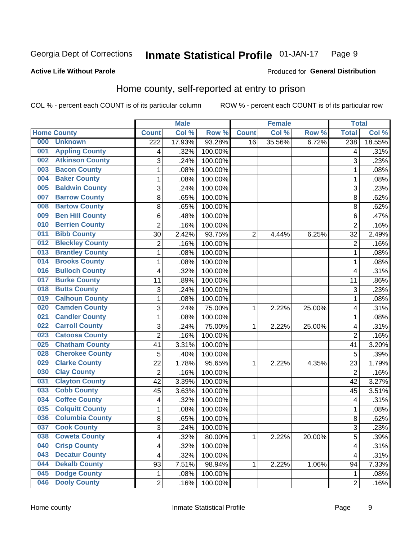#### **Inmate Statistical Profile 01-JAN-17** Page 9

### **Active Life Without Parole**

#### Produced for General Distribution

## Home county, self-reported at entry to prison

COL % - percent each COUNT is of its particular column

|     |                        |                  | <b>Male</b> |                  |              | <b>Female</b> |        | <b>Total</b>   |        |
|-----|------------------------|------------------|-------------|------------------|--------------|---------------|--------|----------------|--------|
|     | <b>Home County</b>     | <b>Count</b>     | Col%        | Row <sup>%</sup> | <b>Count</b> | Col %         | Row %  | <b>Total</b>   | Col %  |
| 000 | <b>Unknown</b>         | $\overline{222}$ | 17.93%      | 93.28%           | 16           | 35.56%        | 6.72%  | 238            | 18.55% |
| 001 | <b>Appling County</b>  | 4                | .32%        | 100.00%          |              |               |        | 4              | .31%   |
| 002 | <b>Atkinson County</b> | 3                | .24%        | 100.00%          |              |               |        | 3              | .23%   |
| 003 | <b>Bacon County</b>    | $\mathbf 1$      | .08%        | 100.00%          |              |               |        | 1              | .08%   |
| 004 | <b>Baker County</b>    | $\mathbf 1$      | .08%        | 100.00%          |              |               |        | 1              | .08%   |
| 005 | <b>Baldwin County</b>  | 3                | .24%        | 100.00%          |              |               |        | 3              | .23%   |
| 007 | <b>Barrow County</b>   | 8                | .65%        | 100.00%          |              |               |        | 8              | .62%   |
| 008 | <b>Bartow County</b>   | 8                | .65%        | 100.00%          |              |               |        | 8              | .62%   |
| 009 | <b>Ben Hill County</b> | 6                | .48%        | 100.00%          |              |               |        | 6              | .47%   |
| 010 | <b>Berrien County</b>  | $\overline{2}$   | .16%        | 100.00%          |              |               |        | $\overline{2}$ | .16%   |
| 011 | <b>Bibb County</b>     | 30               | 2.42%       | 93.75%           | 2            | 4.44%         | 6.25%  | 32             | 2.49%  |
| 012 | <b>Bleckley County</b> | $\overline{2}$   | .16%        | 100.00%          |              |               |        | $\overline{2}$ | .16%   |
| 013 | <b>Brantley County</b> | $\mathbf{1}$     | .08%        | 100.00%          |              |               |        | 1              | .08%   |
| 014 | <b>Brooks County</b>   | $\mathbf 1$      | .08%        | 100.00%          |              |               |        | 1              | .08%   |
| 016 | <b>Bulloch County</b>  | 4                | .32%        | 100.00%          |              |               |        | 4              | .31%   |
| 017 | <b>Burke County</b>    | 11               | .89%        | 100.00%          |              |               |        | 11             | .86%   |
| 018 | <b>Butts County</b>    | 3                | .24%        | 100.00%          |              |               |        | 3              | .23%   |
| 019 | <b>Calhoun County</b>  | $\mathbf 1$      | .08%        | 100.00%          |              |               |        | 1              | .08%   |
| 020 | <b>Camden County</b>   | 3                | .24%        | 75.00%           | 1            | 2.22%         | 25.00% | 4              | .31%   |
| 021 | <b>Candler County</b>  | 1                | .08%        | 100.00%          |              |               |        | 1              | .08%   |
| 022 | <b>Carroll County</b>  | 3                | .24%        | 75.00%           | 1            | 2.22%         | 25.00% | 4              | .31%   |
| 023 | <b>Catoosa County</b>  | $\overline{2}$   | .16%        | 100.00%          |              |               |        | $\overline{2}$ | .16%   |
| 025 | <b>Chatham County</b>  | 41               | 3.31%       | 100.00%          |              |               |        | 41             | 3.20%  |
| 028 | <b>Cherokee County</b> | 5                | .40%        | 100.00%          |              |               |        | 5              | .39%   |
| 029 | <b>Clarke County</b>   | 22               | 1.78%       | 95.65%           | 1            | 2.22%         | 4.35%  | 23             | 1.79%  |
| 030 | <b>Clay County</b>     | $\overline{2}$   | .16%        | 100.00%          |              |               |        | $\overline{2}$ | .16%   |
| 031 | <b>Clayton County</b>  | 42               | 3.39%       | 100.00%          |              |               |        | 42             | 3.27%  |
| 033 | <b>Cobb County</b>     | 45               | 3.63%       | 100.00%          |              |               |        | 45             | 3.51%  |
| 034 | <b>Coffee County</b>   | 4                | .32%        | 100.00%          |              |               |        | 4              | .31%   |
| 035 | <b>Colquitt County</b> | $\mathbf 1$      | .08%        | 100.00%          |              |               |        | 1              | .08%   |
| 036 | <b>Columbia County</b> | 8                | .65%        | 100.00%          |              |               |        | 8              | .62%   |
| 037 | <b>Cook County</b>     | 3                | .24%        | 100.00%          |              |               |        | 3              | .23%   |
| 038 | <b>Coweta County</b>   | 4                | .32%        | 80.00%           | 1            | 2.22%         | 20.00% | 5              | .39%   |
| 040 | <b>Crisp County</b>    | 4                | .32%        | 100.00%          |              |               |        | 4              | .31%   |
| 043 | <b>Decatur County</b>  | 4                | .32%        | 100.00%          |              |               |        | 4              | .31%   |
| 044 | <b>Dekalb County</b>   | 93               | 7.51%       | 98.94%           | 1            | 2.22%         | 1.06%  | 94             | 7.33%  |
| 045 | <b>Dodge County</b>    | 1                | .08%        | 100.00%          |              |               |        | 1              | .08%   |
| 046 | <b>Dooly County</b>    | $\overline{2}$   | .16%        | 100.00%          |              |               |        | $\overline{2}$ | .16%   |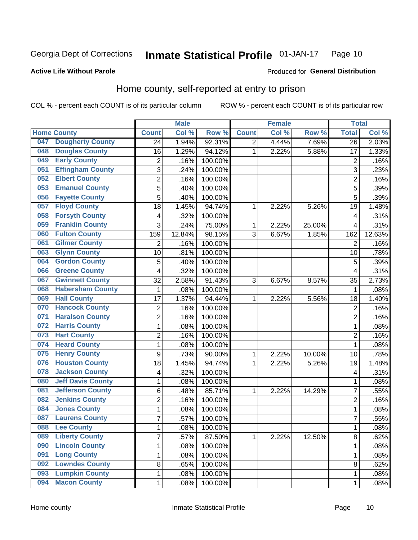#### Inmate Statistical Profile 01-JAN-17 Page 10

### **Active Life Without Parole**

### Produced for General Distribution

## Home county, self-reported at entry to prison

COL % - percent each COUNT is of its particular column

|     |                          |                | <b>Male</b> |         |              | <b>Female</b> |        | <b>Total</b>    |        |
|-----|--------------------------|----------------|-------------|---------|--------------|---------------|--------|-----------------|--------|
|     | <b>Home County</b>       | <b>Count</b>   | Col %       | Row %   | <b>Count</b> | Col %         | Row %  | <b>Total</b>    | Col %  |
| 047 | <b>Dougherty County</b>  | 24             | 1.94%       | 92.31%  | 2            | 4.44%         | 7.69%  | $\overline{26}$ | 2.03%  |
| 048 | <b>Douglas County</b>    | 16             | 1.29%       | 94.12%  | 1            | 2.22%         | 5.88%  | 17              | 1.33%  |
| 049 | <b>Early County</b>      | $\overline{2}$ | .16%        | 100.00% |              |               |        | $\overline{2}$  | .16%   |
| 051 | <b>Effingham County</b>  | 3              | .24%        | 100.00% |              |               |        | 3               | .23%   |
| 052 | <b>Elbert County</b>     | $\overline{2}$ | .16%        | 100.00% |              |               |        | $\overline{2}$  | .16%   |
| 053 | <b>Emanuel County</b>    | 5              | .40%        | 100.00% |              |               |        | 5               | .39%   |
| 056 | <b>Fayette County</b>    | 5              | .40%        | 100.00% |              |               |        | 5               | .39%   |
| 057 | <b>Floyd County</b>      | 18             | 1.45%       | 94.74%  | 1            | 2.22%         | 5.26%  | 19              | 1.48%  |
| 058 | <b>Forsyth County</b>    | 4              | .32%        | 100.00% |              |               |        | 4               | .31%   |
| 059 | <b>Franklin County</b>   | 3              | .24%        | 75.00%  | 1            | 2.22%         | 25.00% | $\overline{4}$  | .31%   |
| 060 | <b>Fulton County</b>     | 159            | 12.84%      | 98.15%  | 3            | 6.67%         | 1.85%  | 162             | 12.63% |
| 061 | <b>Gilmer County</b>     | $\overline{2}$ | .16%        | 100.00% |              |               |        | $\overline{2}$  | .16%   |
| 063 | <b>Glynn County</b>      | 10             | .81%        | 100.00% |              |               |        | 10              | .78%   |
| 064 | <b>Gordon County</b>     | 5              | .40%        | 100.00% |              |               |        | 5               | .39%   |
| 066 | <b>Greene County</b>     | 4              | .32%        | 100.00% |              |               |        | 4               | .31%   |
| 067 | <b>Gwinnett County</b>   | 32             | 2.58%       | 91.43%  | 3            | 6.67%         | 8.57%  | 35              | 2.73%  |
| 068 | <b>Habersham County</b>  | 1              | .08%        | 100.00% |              |               |        | 1               | .08%   |
| 069 | <b>Hall County</b>       | 17             | 1.37%       | 94.44%  | 1            | 2.22%         | 5.56%  | 18              | 1.40%  |
| 070 | <b>Hancock County</b>    | 2              | .16%        | 100.00% |              |               |        | $\overline{2}$  | .16%   |
| 071 | <b>Haralson County</b>   | $\overline{2}$ | .16%        | 100.00% |              |               |        | $\overline{2}$  | .16%   |
| 072 | <b>Harris County</b>     | $\mathbf{1}$   | .08%        | 100.00% |              |               |        | 1               | .08%   |
| 073 | <b>Hart County</b>       | $\overline{c}$ | .16%        | 100.00% |              |               |        | $\overline{2}$  | .16%   |
| 074 | <b>Heard County</b>      | $\mathbf{1}$   | .08%        | 100.00% |              |               |        | 1               | .08%   |
| 075 | <b>Henry County</b>      | 9              | .73%        | 90.00%  | 1            | 2.22%         | 10.00% | 10              | .78%   |
| 076 | <b>Houston County</b>    | 18             | 1.45%       | 94.74%  | 1            | 2.22%         | 5.26%  | 19              | 1.48%  |
| 078 | <b>Jackson County</b>    | 4              | .32%        | 100.00% |              |               |        | 4               | .31%   |
| 080 | <b>Jeff Davis County</b> | $\mathbf{1}$   | .08%        | 100.00% |              |               |        | 1               | .08%   |
| 081 | <b>Jefferson County</b>  | 6              | .48%        | 85.71%  | 1            | 2.22%         | 14.29% | 7               | .55%   |
| 082 | <b>Jenkins County</b>    | $\overline{2}$ | .16%        | 100.00% |              |               |        | $\overline{2}$  | .16%   |
| 084 | <b>Jones County</b>      | $\mathbf{1}$   | .08%        | 100.00% |              |               |        | 1               | .08%   |
| 087 | <b>Laurens County</b>    | $\overline{7}$ | .57%        | 100.00% |              |               |        | 7               | .55%   |
| 088 | <b>Lee County</b>        | 1              | .08%        | 100.00% |              |               |        | 1               | .08%   |
| 089 | <b>Liberty County</b>    | $\overline{7}$ | .57%        | 87.50%  | 1            | 2.22%         | 12.50% | 8               | .62%   |
| 090 | <b>Lincoln County</b>    | 1              | .08%        | 100.00% |              |               |        | 1               | .08%   |
| 091 | <b>Long County</b>       | 1              | .08%        | 100.00% |              |               |        | 1               | .08%   |
| 092 | <b>Lowndes County</b>    | 8              | .65%        | 100.00% |              |               |        | 8               | .62%   |
| 093 | <b>Lumpkin County</b>    | 1              | .08%        | 100.00% |              |               |        | 1               | .08%   |
| 094 | <b>Macon County</b>      | 1              | .08%        | 100.00% |              |               |        | 1               | .08%   |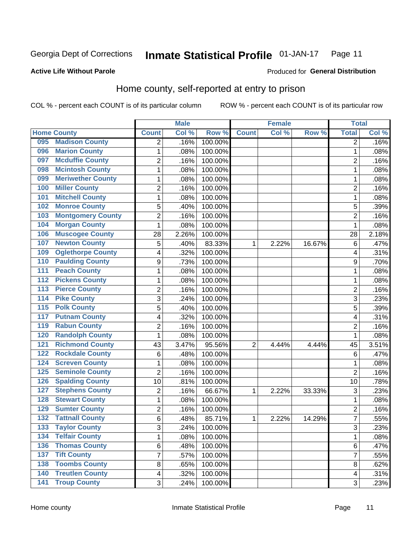#### Inmate Statistical Profile 01-JAN-17 Page 11

Produced for General Distribution

### **Active Life Without Parole**

## Home county, self-reported at entry to prison

COL % - percent each COUNT is of its particular column

|                  |                          |                         | <b>Male</b> |         |                | <b>Female</b> |        | <b>Total</b>            |       |
|------------------|--------------------------|-------------------------|-------------|---------|----------------|---------------|--------|-------------------------|-------|
|                  | <b>Home County</b>       | <b>Count</b>            | Col %       | Row %   | <b>Count</b>   | Col %         | Row %  | <b>Total</b>            | Col % |
| 095              | <b>Madison County</b>    | $\overline{2}$          | .16%        | 100.00% |                |               |        | $\overline{2}$          | .16%  |
| 096              | <b>Marion County</b>     | 1                       | .08%        | 100.00% |                |               |        | 1                       | .08%  |
| 097              | <b>Mcduffie County</b>   | $\overline{2}$          | .16%        | 100.00% |                |               |        | $\overline{2}$          | .16%  |
| 098              | <b>Mcintosh County</b>   | 1                       | .08%        | 100.00% |                |               |        | 1                       | .08%  |
| 099              | <b>Meriwether County</b> | 1                       | .08%        | 100.00% |                |               |        | 1                       | .08%  |
| 100              | <b>Miller County</b>     | $\overline{2}$          | .16%        | 100.00% |                |               |        | $\overline{c}$          | .16%  |
| 101              | <b>Mitchell County</b>   | $\mathbf{1}$            | .08%        | 100.00% |                |               |        | 1                       | .08%  |
| 102              | <b>Monroe County</b>     | 5                       | .40%        | 100.00% |                |               |        | 5                       | .39%  |
| 103              | <b>Montgomery County</b> | $\overline{2}$          | .16%        | 100.00% |                |               |        | $\overline{2}$          | .16%  |
| 104              | <b>Morgan County</b>     | 1                       | .08%        | 100.00% |                |               |        | 1                       | .08%  |
| 106              | <b>Muscogee County</b>   | 28                      | 2.26%       | 100.00% |                |               |        | 28                      | 2.18% |
| 107              | <b>Newton County</b>     | 5                       | .40%        | 83.33%  | 1              | 2.22%         | 16.67% | 6                       | .47%  |
| 109              | <b>Oglethorpe County</b> | $\overline{\mathbf{4}}$ | .32%        | 100.00% |                |               |        | 4                       | .31%  |
| 110              | <b>Paulding County</b>   | $\boldsymbol{9}$        | .73%        | 100.00% |                |               |        | 9                       | .70%  |
| 111              | <b>Peach County</b>      | $\mathbf{1}$            | .08%        | 100.00% |                |               |        | 1                       | .08%  |
| 112              | <b>Pickens County</b>    | 1                       | .08%        | 100.00% |                |               |        | 1                       | .08%  |
| $\overline{113}$ | <b>Pierce County</b>     | $\overline{2}$          | .16%        | 100.00% |                |               |        | $\overline{\mathbf{c}}$ | .16%  |
| $\overline{114}$ | <b>Pike County</b>       | 3                       | .24%        | 100.00% |                |               |        | 3                       | .23%  |
| 115              | <b>Polk County</b>       | $\overline{5}$          | .40%        | 100.00% |                |               |        | 5                       | .39%  |
| 117              | <b>Putnam County</b>     | 4                       | .32%        | 100.00% |                |               |        | 4                       | .31%  |
| 119              | <b>Rabun County</b>      | $\overline{2}$          | .16%        | 100.00% |                |               |        | $\overline{2}$          | .16%  |
| 120              | <b>Randolph County</b>   | $\mathbf{1}$            | .08%        | 100.00% |                |               |        | 1                       | .08%  |
| 121              | <b>Richmond County</b>   | 43                      | 3.47%       | 95.56%  | $\overline{2}$ | 4.44%         | 4.44%  | 45                      | 3.51% |
| 122              | <b>Rockdale County</b>   | 6                       | .48%        | 100.00% |                |               |        | 6                       | .47%  |
| 124              | <b>Screven County</b>    | $\mathbf{1}$            | .08%        | 100.00% |                |               |        | 1                       | .08%  |
| 125              | <b>Seminole County</b>   | $\overline{2}$          | .16%        | 100.00% |                |               |        | $\overline{2}$          | .16%  |
| 126              | <b>Spalding County</b>   | 10                      | .81%        | 100.00% |                |               |        | 10                      | .78%  |
| 127              | <b>Stephens County</b>   | $\overline{2}$          | .16%        | 66.67%  | $\mathbf 1$    | 2.22%         | 33.33% | 3                       | .23%  |
| 128              | <b>Stewart County</b>    | 1                       | .08%        | 100.00% |                |               |        | 1                       | .08%  |
| 129              | <b>Sumter County</b>     | $\overline{2}$          | .16%        | 100.00% |                |               |        | $\overline{2}$          | .16%  |
| 132              | <b>Tattnall County</b>   | $6\phantom{1}$          | .48%        | 85.71%  | $\mathbf 1$    | 2.22%         | 14.29% | 7                       | .55%  |
| 133              | <b>Taylor County</b>     | 3                       | .24%        | 100.00% |                |               |        | 3                       | .23%  |
| 134              | <b>Telfair County</b>    | 1                       | .08%        | 100.00% |                |               |        | 1                       | .08%  |
| 136              | <b>Thomas County</b>     | 6                       | .48%        | 100.00% |                |               |        | 6                       | .47%  |
| 137              | <b>Tift County</b>       | $\overline{7}$          | .57%        | 100.00% |                |               |        | $\overline{7}$          | .55%  |
| 138              | <b>Toombs County</b>     | 8                       | .65%        | 100.00% |                |               |        | 8                       | .62%  |
| 140              | <b>Treutlen County</b>   | $\overline{\mathbf{4}}$ | .32%        | 100.00% |                |               |        | 4                       | .31%  |
| 141              | <b>Troup County</b>      | 3                       | .24%        | 100.00% |                |               |        | 3                       | .23%  |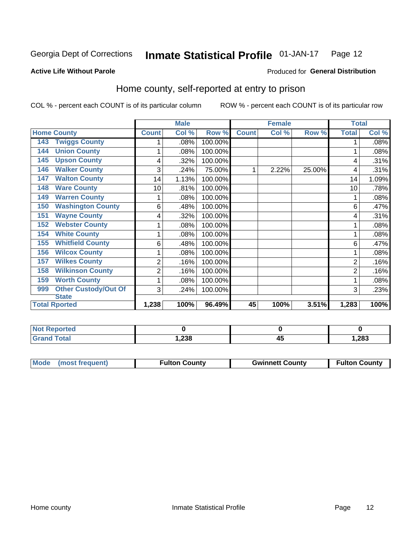#### **Inmate Statistical Profile 01-JAN-17** Page 12

#### **Active Life Without Parole**

#### Produced for General Distribution

## Home county, self-reported at entry to prison

COL % - percent each COUNT is of its particular column

|                                    |                | <b>Male</b>               |         |              | <b>Female</b> |        | <b>Total</b> |       |
|------------------------------------|----------------|---------------------------|---------|--------------|---------------|--------|--------------|-------|
| <b>Home County</b>                 | <b>Count</b>   | $\overline{\text{Col}}$ % | Row %   | <b>Count</b> | Col %         | Row %  | <b>Total</b> | Col % |
| <b>Twiggs County</b><br>143        |                | .08%                      | 100.00% |              |               |        |              | .08%  |
| <b>Union County</b><br>144         |                | .08%                      | 100.00% |              |               |        |              | .08%  |
| <b>Upson County</b><br>145         | 4              | .32%                      | 100.00% |              |               |        | 4            | .31%  |
| <b>Walker County</b><br>146        | 3              | .24%                      | 75.00%  |              | 2.22%         | 25.00% | 4            | .31%  |
| <b>Walton County</b><br>147        | 14             | 1.13%                     | 100.00% |              |               |        | 14           | 1.09% |
| <b>Ware County</b><br>148          | 10             | .81%                      | 100.00% |              |               |        | 10           | .78%  |
| <b>Warren County</b><br>149        |                | .08%                      | 100.00% |              |               |        |              | .08%  |
| <b>Washington County</b><br>150    | 6              | .48%                      | 100.00% |              |               |        | 6            | .47%  |
| <b>Wayne County</b><br>151         | 4              | .32%                      | 100.00% |              |               |        | 4            | .31%  |
| <b>Webster County</b><br>152       |                | .08%                      | 100.00% |              |               |        |              | .08%  |
| <b>White County</b><br>154         | 1              | .08%                      | 100.00% |              |               |        |              | .08%  |
| <b>Whitfield County</b><br>155     | 6              | .48%                      | 100.00% |              |               |        | 6            | .47%  |
| <b>Wilcox County</b><br>156        |                | .08%                      | 100.00% |              |               |        |              | .08%  |
| <b>Wilkes County</b><br>157        | 2              | .16%                      | 100.00% |              |               |        | 2            | .16%  |
| <b>Wilkinson County</b><br>158     | $\overline{2}$ | .16%                      | 100.00% |              |               |        | 2            | .16%  |
| <b>Worth County</b><br>159         | 1              | .08%                      | 100.00% |              |               |        |              | .08%  |
| <b>Other Custody/Out Of</b><br>999 | 3              | .24%                      | 100.00% |              |               |        | 3            | .23%  |
| <b>State</b>                       |                |                           |         |              |               |        |              |       |
| <b>Total Rported</b>               | 1,238          | 100%                      | 96.49%  | 45           | 100%          | 3.51%  | 1,283        | 100%  |

| <b>Not Reported</b> |              |        |
|---------------------|--------------|--------|
| `otal               | nne.<br>∟ت∡, | 283, ا |

| Mode (most frequent)<br><b>Gwinnett County</b><br><b>Fulton County</b> | <b>Fulton County</b> |
|------------------------------------------------------------------------|----------------------|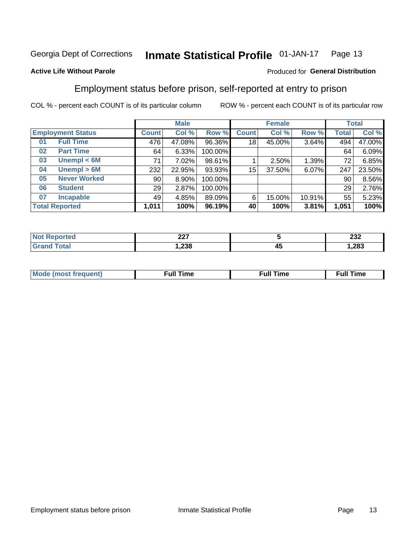#### Inmate Statistical Profile 01-JAN-17 Page 13

### **Active Life Without Parole**

### Produced for General Distribution

## Employment status before prison, self-reported at entry to prison

COL % - percent each COUNT is of its particular column

|                          |                     | <b>Male</b>     |        |         | <b>Female</b> |        |        | <b>Total</b> |        |
|--------------------------|---------------------|-----------------|--------|---------|---------------|--------|--------|--------------|--------|
| <b>Employment Status</b> |                     | <b>Count</b>    | Col %  | Row %   | <b>Count</b>  | Col %  | Row %  | Total        | Col %  |
| 01                       | <b>Full Time</b>    | 476             | 47.08% | 96.36%  | 18            | 45.00% | 3.64%  | 494          | 47.00% |
| 02                       | <b>Part Time</b>    | 64              | 6.33%  | 100.00% |               |        |        | 64           | 6.09%  |
| 03                       | Unempl $<$ 6M       | 71              | 7.02%  | 98.61%  |               | 2.50%  | 1.39%  | 72           | 6.85%  |
| 04                       | Unempl > 6M         | 232             | 22.95% | 93.93%  | 15            | 37.50% | 6.07%  | 247          | 23.50% |
| 05                       | <b>Never Worked</b> | 90 <sub>1</sub> | 8.90%  | 100.00% |               |        |        | 90           | 8.56%  |
| 06                       | <b>Student</b>      | 29              | 2.87%  | 100.00% |               |        |        | 29           | 2.76%  |
| 07                       | <b>Incapable</b>    | 49              | 4.85%  | 89.09%  | 6             | 15.00% | 10.91% | 55           | 5.23%  |
| <b>Total Reported</b>    |                     | 1,011           | 100%   | 96.19%  | 40            | 100%   | 3.81%  | 1,051        | 100%   |

| ິ<br>--- |    | ົາາາ<br>ZJZ |
|----------|----|-------------|
| 238,،    | 4. | .283        |

| Mc | ∙u∥<br>----<br>ıme | ίuΙ<br>Πmε |
|----|--------------------|------------|
|    |                    |            |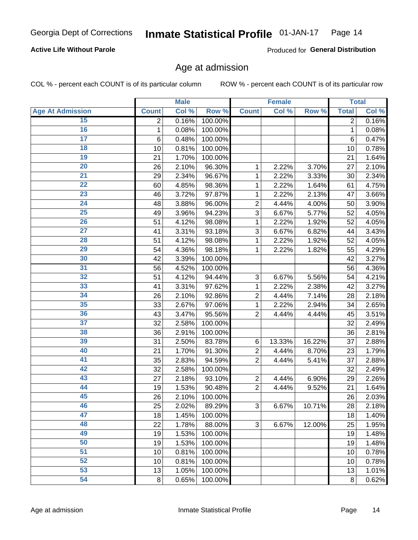### **Active Life Without Parole**

Produced for General Distribution

## Age at admission

COL % - percent each COUNT is of its particular column

|                         |                 | <b>Male</b> |         |                | <b>Female</b> |        |              | <b>Total</b> |
|-------------------------|-----------------|-------------|---------|----------------|---------------|--------|--------------|--------------|
| <b>Age At Admission</b> | <b>Count</b>    | Col %       | Row %   | <b>Count</b>   | Col %         | Row %  | <b>Total</b> | Col %        |
| 15                      | 2               | 0.16%       | 100.00% |                |               |        | 2            | 0.16%        |
| 16                      | 1               | 0.08%       | 100.00% |                |               |        | 1            | 0.08%        |
| $\overline{17}$         | $6\phantom{1}6$ | 0.48%       | 100.00% |                |               |        | 6            | 0.47%        |
| 18                      | 10              | 0.81%       | 100.00% |                |               |        | 10           | 0.78%        |
| 19                      | 21              | 1.70%       | 100.00% |                |               |        | 21           | 1.64%        |
| $\overline{20}$         | 26              | 2.10%       | 96.30%  | 1              | 2.22%         | 3.70%  | 27           | 2.10%        |
| 21                      | 29              | 2.34%       | 96.67%  | 1              | 2.22%         | 3.33%  | 30           | 2.34%        |
| 22                      | 60              | 4.85%       | 98.36%  | 1              | 2.22%         | 1.64%  | 61           | 4.75%        |
| 23                      | 46              | 3.72%       | 97.87%  | 1              | 2.22%         | 2.13%  | 47           | 3.66%        |
| 24                      | 48              | 3.88%       | 96.00%  | $\overline{2}$ | 4.44%         | 4.00%  | 50           | 3.90%        |
| $\overline{25}$         | 49              | 3.96%       | 94.23%  | 3              | 6.67%         | 5.77%  | 52           | 4.05%        |
| 26                      | 51              | 4.12%       | 98.08%  | 1              | 2.22%         | 1.92%  | 52           | 4.05%        |
| $\overline{27}$         | 41              | 3.31%       | 93.18%  | 3              | 6.67%         | 6.82%  | 44           | 3.43%        |
| 28                      | 51              | 4.12%       | 98.08%  | 1              | 2.22%         | 1.92%  | 52           | 4.05%        |
| 29                      | 54              | 4.36%       | 98.18%  | 1              | 2.22%         | 1.82%  | 55           | 4.29%        |
| 30                      | 42              | 3.39%       | 100.00% |                |               |        | 42           | 3.27%        |
| 31                      | 56              | 4.52%       | 100.00% |                |               |        | 56           | 4.36%        |
| 32                      | 51              | 4.12%       | 94.44%  | 3              | 6.67%         | 5.56%  | 54           | 4.21%        |
| 33                      | 41              | 3.31%       | 97.62%  | 1              | 2.22%         | 2.38%  | 42           | 3.27%        |
| 34                      | 26              | 2.10%       | 92.86%  | $\overline{2}$ | 4.44%         | 7.14%  | 28           | 2.18%        |
| 35                      | 33              | 2.67%       | 97.06%  | 1              | 2.22%         | 2.94%  | 34           | 2.65%        |
| 36                      | 43              | 3.47%       | 95.56%  | $\overline{2}$ | 4.44%         | 4.44%  | 45           | 3.51%        |
| $\overline{37}$         | 32              | 2.58%       | 100.00% |                |               |        | 32           | 2.49%        |
| 38                      | 36              | 2.91%       | 100.00% |                |               |        | 36           | 2.81%        |
| 39                      | 31              | 2.50%       | 83.78%  | 6              | 13.33%        | 16.22% | 37           | 2.88%        |
| 40                      | 21              | 1.70%       | 91.30%  | $\overline{2}$ | 4.44%         | 8.70%  | 23           | 1.79%        |
| 41                      | 35              | 2.83%       | 94.59%  | $\overline{2}$ | 4.44%         | 5.41%  | 37           | 2.88%        |
| 42                      | 32              | 2.58%       | 100.00% |                |               |        | 32           | 2.49%        |
| 43                      | 27              | 2.18%       | 93.10%  | $\overline{2}$ | 4.44%         | 6.90%  | 29           | 2.26%        |
| 44                      | 19              | 1.53%       | 90.48%  | $\overline{2}$ | 4.44%         | 9.52%  | 21           | 1.64%        |
| 45                      | 26              | 2.10%       | 100.00% |                |               |        | 26           | 2.03%        |
| 46                      | 25              | 2.02%       | 89.29%  | 3              | 6.67%         | 10.71% | 28           | 2.18%        |
| 47                      | 18              | 1.45%       | 100.00% |                |               |        | 18           | 1.40%        |
| 48                      | 22              | 1.78%       | 88.00%  | 3              | 6.67%         | 12.00% | 25           | 1.95%        |
| 49                      | 19              | 1.53%       | 100.00% |                |               |        | 19           | 1.48%        |
| 50                      | 19              | 1.53%       | 100.00% |                |               |        | 19           | 1.48%        |
| $\overline{51}$         | 10              | 0.81%       | 100.00% |                |               |        | 10           | 0.78%        |
| 52                      | 10              | 0.81%       | 100.00% |                |               |        | 10           | 0.78%        |
| 53                      | 13              | 1.05%       | 100.00% |                |               |        | 13           | 1.01%        |
| 54                      | 8               | 0.65%       | 100.00% |                |               |        | 8            | 0.62%        |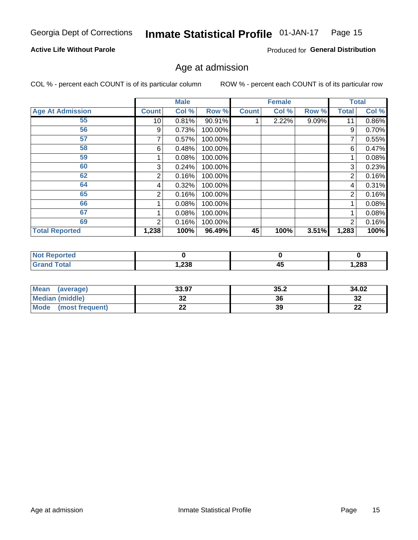#### Inmate Statistical Profile 01-JAN-17 Page 15

### **Active Life Without Parole**

Produced for General Distribution

## Age at admission

COL % - percent each COUNT is of its particular column

|                         |              | <b>Male</b> |         |              | <b>Female</b> |       |                | <b>Total</b> |
|-------------------------|--------------|-------------|---------|--------------|---------------|-------|----------------|--------------|
| <b>Age At Admission</b> | <b>Count</b> | Col %       | Row %   | <b>Count</b> | Col %         | Row % | <b>Total</b>   | Col %        |
| 55                      | 10           | 0.81%       | 90.91%  |              | 2.22%         | 9.09% | 11             | 0.86%        |
| 56                      | 9            | 0.73%       | 100.00% |              |               |       | 9              | 0.70%        |
| 57                      |              | 0.57%       | 100.00% |              |               |       |                | 0.55%        |
| 58                      | 6            | 0.48%       | 100.00% |              |               |       | 6              | 0.47%        |
| 59                      |              | 0.08%       | 100.00% |              |               |       |                | 0.08%        |
| 60                      | 3            | 0.24%       | 100.00% |              |               |       | 3              | 0.23%        |
| 62                      | 2            | 0.16%       | 100.00% |              |               |       | 2              | 0.16%        |
| 64                      | 4            | 0.32%       | 100.00% |              |               |       | 4              | 0.31%        |
| 65                      | 2            | 0.16%       | 100.00% |              |               |       | $\overline{2}$ | 0.16%        |
| 66                      |              | 0.08%       | 100.00% |              |               |       |                | 0.08%        |
| 67                      |              | 0.08%       | 100.00% |              |               |       |                | 0.08%        |
| 69                      | 2            | 0.16%       | 100.00% |              |               |       | $\overline{2}$ | 0.16%        |
| <b>Total Reported</b>   | 1,238        | 100%        | 96.49%  | 45           | 100%          | 3.51% | 1,283          | 100%         |

| <b>Reported</b><br><b>NOT</b> |       |                |       |
|-------------------------------|-------|----------------|-------|
| ™otal                         | 1,238 | - -<br>д.<br>∼ | 1,283 |

| Mean<br>(average)              | 33.97 | 35.2 | 34.02     |
|--------------------------------|-------|------|-----------|
| <b>Median (middle)</b>         | ◡▵    | 36   | າາ<br>∠د  |
| <b>Mode</b><br>(most frequent) | --    | 39   | ng,<br>LL |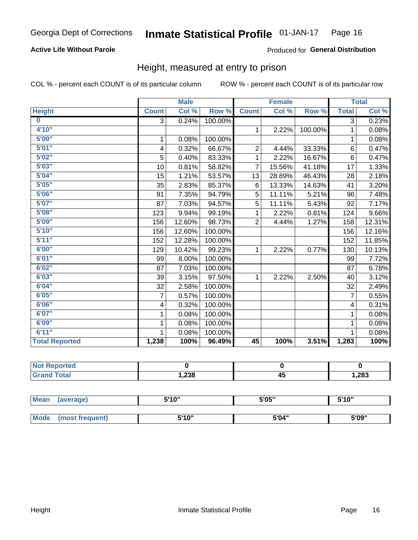### **Active Life Without Parole**

### Produced for General Distribution

## Height, measured at entry to prison

COL % - percent each COUNT is of its particular column

|                         |                | <b>Male</b> |         |                | <b>Female</b> |         |                         | <b>Total</b> |
|-------------------------|----------------|-------------|---------|----------------|---------------|---------|-------------------------|--------------|
| <b>Height</b>           | <b>Count</b>   | Col %       | Row %   | <b>Count</b>   | Col %         | Row %   | <b>Total</b>            | Col %        |
| $\overline{\mathbf{0}}$ | $\overline{3}$ | 0.24%       | 100.00% |                |               |         | 3                       | 0.23%        |
| 4'10"                   |                |             |         | $\mathbf{1}$   | 2.22%         | 100.00% | 1                       | 0.08%        |
| 5'00''                  | 1              | 0.08%       | 100.00% |                |               |         | 1                       | 0.08%        |
| 5'01"                   | 4              | 0.32%       | 66.67%  | $\overline{2}$ | 4.44%         | 33.33%  | 6                       | 0.47%        |
| 5'02"                   | 5              | 0.40%       | 83.33%  | 1              | 2.22%         | 16.67%  | 6                       | 0.47%        |
| 5'03''                  | 10             | 0.81%       | 58.82%  | $\overline{7}$ | 15.56%        | 41.18%  | 17                      | 1.33%        |
| 5'04"                   | 15             | 1.21%       | 53.57%  | 13             | 28.89%        | 46.43%  | 28                      | 2.18%        |
| 5'05"                   | 35             | 2.83%       | 85.37%  | 6              | 13.33%        | 14.63%  | 41                      | 3.20%        |
| 5'06''                  | 91             | 7.35%       | 94.79%  | 5              | 11.11%        | 5.21%   | 96                      | 7.48%        |
| 5'07''                  | 87             | 7.03%       | 94.57%  | 5              | 11.11%        | 5.43%   | 92                      | 7.17%        |
| 5'08''                  | 123            | 9.94%       | 99.19%  | 1              | 2.22%         | 0.81%   | 124                     | 9.66%        |
| 5'09''                  | 156            | 12.60%      | 98.73%  | $\overline{2}$ | 4.44%         | 1.27%   | 158                     | 12.31%       |
| 5'10''                  | 156            | 12.60%      | 100.00% |                |               |         | 156                     | 12.16%       |
| 5'11''                  | 152            | 12.28%      | 100.00% |                |               |         | 152                     | 11.85%       |
| 6'00''                  | 129            | 10.42%      | 99.23%  | $\mathbf{1}$   | 2.22%         | 0.77%   | 130                     | 10.13%       |
| 6'01''                  | 99             | 8.00%       | 100.00% |                |               |         | 99                      | 7.72%        |
| 6'02"                   | 87             | 7.03%       | 100.00% |                |               |         | 87                      | 6.78%        |
| 6'03''                  | 39             | 3.15%       | 97.50%  | $\mathbf{1}$   | 2.22%         | 2.50%   | 40                      | 3.12%        |
| 6'04"                   | 32             | 2.58%       | 100.00% |                |               |         | 32                      | 2.49%        |
| 6'05"                   | 7              | 0.57%       | 100.00% |                |               |         | $\overline{7}$          | 0.55%        |
| 6'06''                  | 4              | 0.32%       | 100.00% |                |               |         | $\overline{\mathbf{4}}$ | 0.31%        |
| 6'07''                  | 1              | 0.08%       | 100.00% |                |               |         | 1                       | 0.08%        |
| 6'09''                  | 1              | 0.08%       | 100.00% |                |               |         | 1                       | 0.08%        |
| 6'11''                  |                | 0.08%       | 100.00% |                |               |         |                         | 0.08%        |
| <b>Total Reported</b>   | 1,238          | 100%        | 96.49%  | 45             | 100%          | 3.51%   | 1,283                   | 100%         |

| <b>NOT</b><br>rtea<br>$\sim$ |        |                 |      |
|------------------------------|--------|-----------------|------|
| $int^{\bullet}$              | 238, ا | . .<br>д.<br>≖∾ | ,283 |

| <b>Mean</b> | (average)       | 5'10" | 5'05" | 5'10'' |
|-------------|-----------------|-------|-------|--------|
|             |                 |       |       |        |
| <b>Mode</b> | (most frequent) | 5'10" | 5'04" | 5'09"  |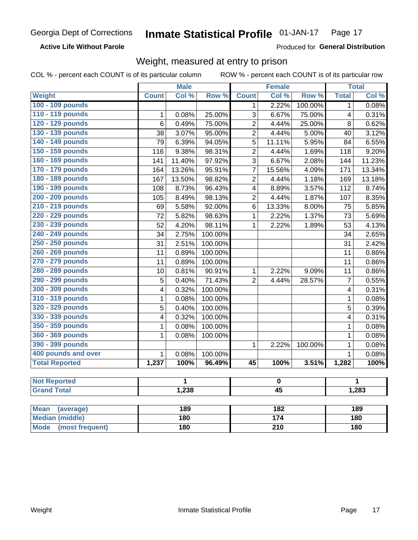**Active Life Without Parole** 

Produced for General Distribution

## Weight, measured at entry to prison

COL % - percent each COUNT is of its particular column

ROW % - percent each COUNT is of its particular row

|                                                    |                         | <b>Male</b> |         |                 | <b>Female</b>   |         |                | <b>Total</b> |
|----------------------------------------------------|-------------------------|-------------|---------|-----------------|-----------------|---------|----------------|--------------|
| Weight                                             | <b>Count</b>            | Col %       | Row %   | <b>Count</b>    | Col %           | Row %   | <b>Total</b>   | Col %        |
| 100 - 109 pounds                                   |                         |             |         | 1               | 2.22%           | 100.00% | 1              | 0.08%        |
| 110 - 119 pounds                                   | 1                       | 0.08%       | 25.00%  | $\overline{3}$  | 6.67%           | 75.00%  | 4              | 0.31%        |
| 120 - 129 pounds                                   | $6\phantom{1}6$         | 0.49%       | 75.00%  | $\overline{2}$  | 4.44%           | 25.00%  | 8              | 0.62%        |
| 130 - 139 pounds                                   | 38                      | 3.07%       | 95.00%  | $\overline{2}$  | 4.44%           | 5.00%   | 40             | 3.12%        |
| 140 - 149 pounds                                   | 79                      | 6.39%       | 94.05%  | 5               | 11.11%          | 5.95%   | 84             | 6.55%        |
| 150 - 159 pounds                                   | 116                     | 9.38%       | 98.31%  | $\overline{2}$  | 4.44%           | 1.69%   | 118            | 9.20%        |
| 160 - 169 pounds                                   | 141                     | 11.40%      | 97.92%  | 3               | 6.67%           | 2.08%   | 144            | 11.23%       |
| 170 - 179 pounds                                   | 164                     | 13.26%      | 95.91%  | 7               | 15.56%          | 4.09%   | 171            | 13.34%       |
| 180 - 189 pounds                                   | 167                     | 13.50%      | 98.82%  | $\overline{2}$  | 4.44%           | 1.18%   | 169            | 13.18%       |
| 190 - 199 pounds                                   | 108                     | 8.73%       | 96.43%  | 4               | 8.89%           | 3.57%   | 112            | 8.74%        |
| 200 - 209 pounds                                   | 105                     | 8.49%       | 98.13%  | $\overline{2}$  | 4.44%           | 1.87%   | 107            | 8.35%        |
| 210 - 219 pounds                                   | 69                      | 5.58%       | 92.00%  | 6               | 13.33%          | 8.00%   | 75             | 5.85%        |
| 220 - 229 pounds                                   | 72                      | 5.82%       | 98.63%  | $\mathbf{1}$    | 2.22%           | 1.37%   | 73             | 5.69%        |
| 230 - 239 pounds                                   | 52                      | 4.20%       | 98.11%  | $\overline{1}$  | 2.22%           | 1.89%   | 53             | 4.13%        |
| 240 - 249 pounds                                   | 34                      | 2.75%       | 100.00% |                 |                 |         | 34             | 2.65%        |
| 250 - 259 pounds                                   | 31                      | 2.51%       | 100.00% |                 |                 |         | 31             | 2.42%        |
| 260 - 269 pounds                                   | 11                      | 0.89%       | 100.00% |                 |                 |         | 11             | 0.86%        |
| 270 - 279 pounds                                   | 11                      | 0.89%       | 100.00% |                 |                 |         | 11             | 0.86%        |
| 280 - 289 pounds                                   | 10                      | 0.81%       | 90.91%  | $\mathbf{1}$    | 2.22%           | 9.09%   | 11             | 0.86%        |
| 290 - 299 pounds                                   | 5                       | 0.40%       | 71.43%  | $\overline{2}$  | 4.44%           | 28.57%  | $\overline{7}$ | 0.55%        |
| 300 - 309 pounds                                   | 4                       | 0.32%       | 100.00% |                 |                 |         | 4              | 0.31%        |
| 310 - 319 pounds                                   | $\mathbf 1$             | 0.08%       | 100.00% |                 |                 |         | $\mathbf{1}$   | 0.08%        |
| 320 - 329 pounds                                   | $\overline{5}$          | 0.40%       | 100.00% |                 |                 |         | 5              | 0.39%        |
| 330 - 339 pounds                                   | $\overline{\mathbf{4}}$ | 0.32%       | 100.00% |                 |                 |         | 4              | 0.31%        |
| 350 - 359 pounds                                   | 1                       | 0.08%       | 100.00% |                 |                 |         | $\mathbf{1}$   | 0.08%        |
| 360 - 369 pounds                                   | 1                       | 0.08%       | 100.00% |                 |                 |         | $\mathbf{1}$   | 0.08%        |
| 390 - 399 pounds                                   |                         |             |         | $\mathbf{1}$    | 2.22%           | 100.00% | $\mathbf{1}$   | 0.08%        |
| 400 pounds and over                                | $\mathbf{1}$            | 0.08%       | 100.00% |                 |                 |         | $\mathbf{1}$   | 0.08%        |
| <b>Total Reported</b>                              | 1,237                   | 100%        | 96.49%  | $\overline{45}$ | 100%            | 3.51%   | 1,282          | 100%         |
|                                                    |                         |             |         |                 |                 |         |                |              |
| <b>Not Reported</b>                                |                         | 1           |         | $\pmb{0}$       |                 |         |                | 1            |
| <b>Grand Total</b>                                 |                         | 1,238       |         |                 | $\overline{45}$ |         |                | 1,283        |
|                                                    |                         |             |         |                 |                 |         |                |              |
| <b>Mean</b><br>(average)<br><b>Median (middle)</b> |                         | 189         |         |                 | 182<br>174      |         |                | 189          |
|                                                    | <b>180</b>              |             |         |                 |                 | 180     |                |              |

**Mode** 

(most frequent)

 $\overline{210}$ 

 $180$ 

 $180$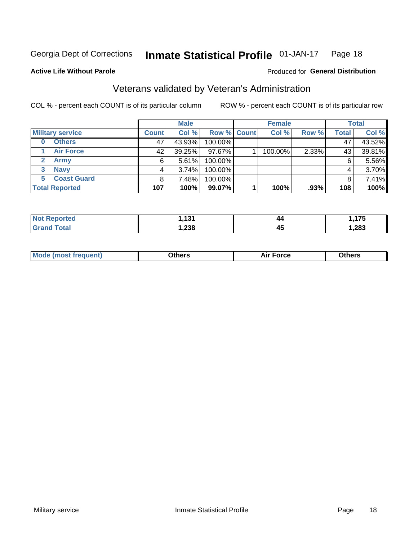#### Inmate Statistical Profile 01-JAN-17 Page 18

#### **Active Life Without Parole**

### Produced for General Distribution

## Veterans validated by Veteran's Administration

COL % - percent each COUNT is of its particular column

|                               |              | <b>Male</b> |                    | <b>Female</b> |       |              | <b>Total</b> |
|-------------------------------|--------------|-------------|--------------------|---------------|-------|--------------|--------------|
| <b>Military service</b>       | <b>Count</b> | Col %       | <b>Row % Count</b> | Col %         | Row % | <b>Total</b> | Col %        |
| <b>Others</b>                 | 47           | 43.93%      | 100.00%            |               |       | 47           | 43.52%       |
| <b>Air Force</b>              | 42           | 39.25%      | 97.67%             | 100.00%       | 2.33% | 43           | 39.81%       |
| $\mathbf{2}^-$<br><b>Army</b> | 6            | 5.61%       | 100.00%            |               |       | 6            | 5.56%        |
| <b>Navy</b><br>3              |              | 3.74%       | 100.00%            |               |       | 4            | 3.70%        |
| <b>Coast Guard</b><br>5.      | 8            | 7.48%       | 100.00%            |               |       |              | 7.41%        |
| <b>Total Reported</b>         | 107          | 100%        | 99.07%             | 100%          | .93%  | 108          | 100%         |

| тес          | 4.24         | 44 | $\rightarrow$<br><u>.</u> |
|--------------|--------------|----|---------------------------|
| <b>Fotal</b> | າາດ<br>ەد∡,⊦ | 45 | ,283                      |

| <b>Moo.</b> |
|-------------|
|-------------|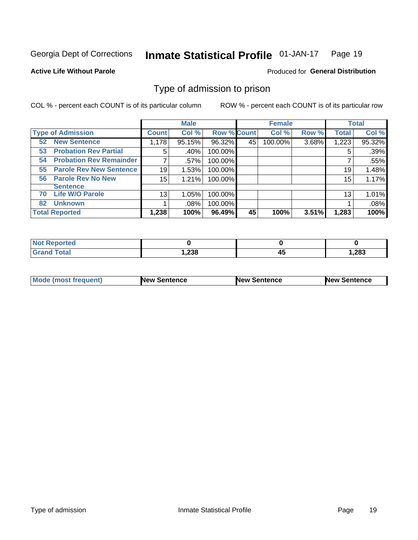#### Inmate Statistical Profile 01-JAN-17 Page 19

#### **Active Life Without Parole**

#### Produced for General Distribution

## Type of admission to prison

COL % - percent each COUNT is of its particular column

|                                      |              | <b>Male</b> |                    |    | <b>Female</b> |       |              | <b>Total</b> |
|--------------------------------------|--------------|-------------|--------------------|----|---------------|-------|--------------|--------------|
| <b>Type of Admission</b>             | <b>Count</b> | Col %       | <b>Row % Count</b> |    | Col %         | Row % | <b>Total</b> | Col %        |
| <b>New Sentence</b><br>52            | 1,178        | 95.15%      | 96.32%             | 45 | 100.00%       | 3.68% | 1,223        | 95.32%       |
| <b>Probation Rev Partial</b><br>53   | 5            | .40%        | 100.00%            |    |               |       | 5            | .39%         |
| <b>Probation Rev Remainder</b><br>54 |              | $.57\%$     | 100.00%            |    |               |       |              | .55%         |
| <b>Parole Rev New Sentence</b><br>55 | 19           | 1.53%       | 100.00%            |    |               |       | 19           | 1.48%        |
| <b>Parole Rev No New</b><br>56       | 15           | 1.21%       | 100.00%            |    |               |       | 15           | 1.17%        |
| <b>Sentence</b>                      |              |             |                    |    |               |       |              |              |
| <b>Life W/O Parole</b><br>70         | 13           | 1.05%       | 100.00%            |    |               |       | 13           | 1.01%        |
| <b>Unknown</b><br>82                 |              | .08%        | 100.00%            |    |               |       |              | .08%         |
| <b>Total Reported</b>                | 1,238        | 100%        | 96.49%             | 45 | 100%          | 3.51% | 1,283        | 100%         |

| <b>Not Reported</b> |       |           |       |
|---------------------|-------|-----------|-------|
| <b>Total</b>        | 1,238 | ,,,<br>᠇៶ | 1,283 |

| Mode (most frequent) | <b>New Sentence</b> | <b>New Sentence</b> | <b>New Sentence</b> |
|----------------------|---------------------|---------------------|---------------------|
|                      |                     |                     |                     |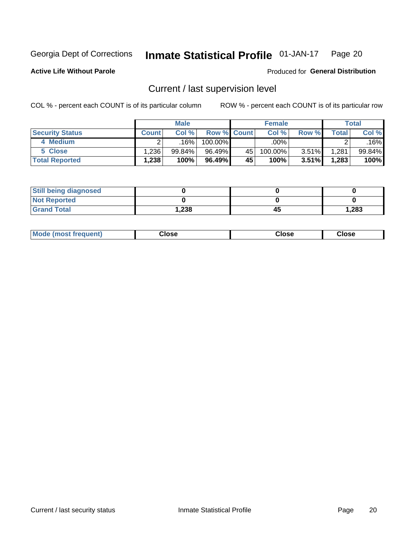#### Inmate Statistical Profile 01-JAN-17 Page 20

Produced for General Distribution

### **Active Life Without Parole**

## Current / last supervision level

COL % - percent each COUNT is of its particular column

|                        |              | <b>Male</b>       |                    |    | <b>Female</b> |          |             | Total     |
|------------------------|--------------|-------------------|--------------------|----|---------------|----------|-------------|-----------|
| <b>Security Status</b> | <b>Count</b> | Col%              | <b>Row % Count</b> |    | Col %         | Row %    | $\tau$ otal | Col %     |
| 4 Medium               |              | .16% <sup> </sup> | 100.00%            |    | .00%          |          | ົ           | .16%      |
| 5 Close                | .236         | 99.84%            | 96.49%             | 45 | 100.00%       | $3.51\%$ | 1,281       | $99.84\%$ |
| <b>Total Reported</b>  | .238         | 100%              | 96.49%             | 45 | 100%          | $3.51\%$ | 1,283       | 100%      |

| <b>Still being diagnosed</b> |      |    |       |
|------------------------------|------|----|-------|
| <b>Not Reported</b>          |      |    |       |
| <b>Grand Total</b>           | .238 | 45 | 1,283 |

| <b>AhoM</b><br>rreauent) | <b>Close</b> | Close | Close |
|--------------------------|--------------|-------|-------|
|                          |              |       |       |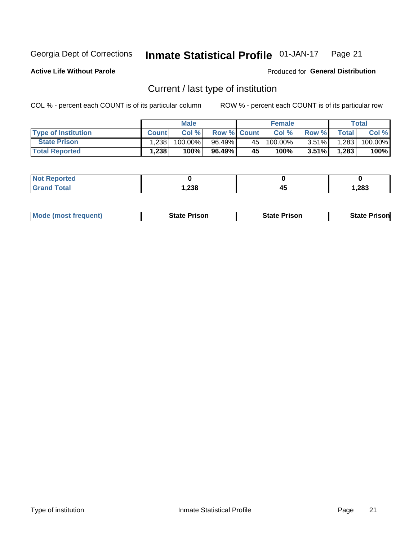#### Inmate Statistical Profile 01-JAN-17 Page 21

**Active Life Without Parole** 

Produced for General Distribution

## Current / last type of institution

COL % - percent each COUNT is of its particular column

|                            |              | <b>Male</b> |                    |    | <b>Female</b> |          |              | Total   |
|----------------------------|--------------|-------------|--------------------|----|---------------|----------|--------------|---------|
| <b>Type of Institution</b> | <b>Count</b> | Col %       | <b>Row % Count</b> |    | Col %         | Row %    | <b>Total</b> | Col %   |
| <b>State Prison</b>        | 1,238        | 100.00%     | 96.49%             | 45 | $100.00\%$    | $3.51\%$ | 1,283        | 100.00% |
| <b>Total Reported</b>      | 1,238        | 100%        | 96.49%             | 45 | 100%          | $3.51\%$ | 1,283        | 100%    |

| ueo<br>$\sim$ |              |    |       |
|---------------|--------------|----|-------|
|               | າາວ<br>0د∡,⊦ | 45 | 1,283 |

| <b>Mode (most frequent)</b> | State Prison | <b>State Prison</b> | State<br>⊦ Prisonl |
|-----------------------------|--------------|---------------------|--------------------|
|                             |              |                     |                    |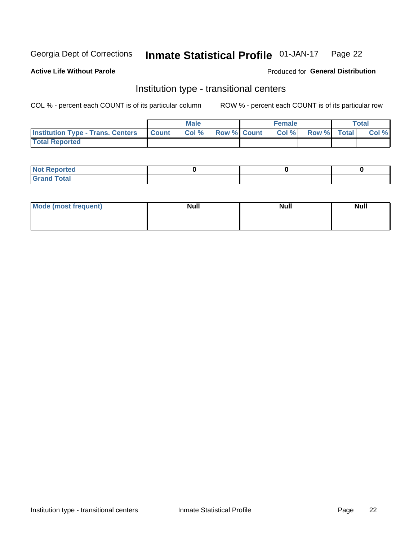#### **Inmate Statistical Profile 01-JAN-17** Page 22

### **Active Life Without Parole**

### Produced for General Distribution

## Institution type - transitional centers

COL % - percent each COUNT is of its particular column

|                                                | Male  |                    | <b>Female</b> |                   | Total |
|------------------------------------------------|-------|--------------------|---------------|-------------------|-------|
| <b>Institution Type - Trans. Centers Count</b> | Col % | <b>Row % Count</b> |               | Col % Row % Total | Col % |
| <b>Total Reported</b>                          |       |                    |               |                   |       |

| <b>Reported</b><br><b>NOT</b><br>$\sim$            |  |  |
|----------------------------------------------------|--|--|
| $f$ $f \circ f \circ f$<br>$C = 1$<br><b>TULAI</b> |  |  |

| Mode (most frequent) | <b>Null</b> | <b>Null</b> | <b>Null</b> |
|----------------------|-------------|-------------|-------------|
|                      |             |             |             |
|                      |             |             |             |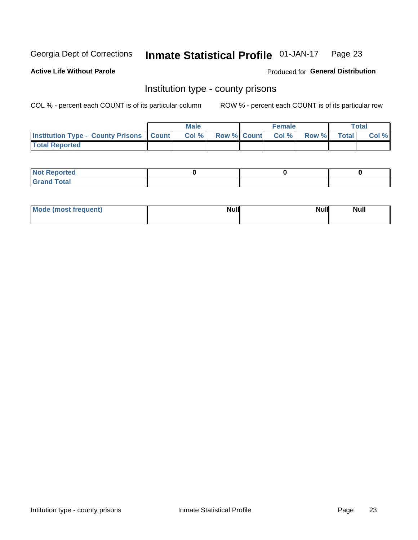#### Inmate Statistical Profile 01-JAN-17 Page 23

**Active Life Without Parole** 

Produced for General Distribution

## Institution type - county prisons

COL % - percent each COUNT is of its particular column

|                                                    | <b>Male</b> |       |  | <b>Female</b> |                          |             | <b>Total</b> |       |
|----------------------------------------------------|-------------|-------|--|---------------|--------------------------|-------------|--------------|-------|
| <b>Institution Type - County Prisons   Count  </b> |             | Col % |  |               | <b>Row % Count Col %</b> | Row % Total |              | Col % |
| <b>Total Reported</b>                              |             |       |  |               |                          |             |              |       |

| <b>Not Reported</b>   |  |  |
|-----------------------|--|--|
| <b>Total</b><br>Granc |  |  |

| Mode (most frequent) | <b>Null</b> | <b>Null</b><br><b>Null</b> |
|----------------------|-------------|----------------------------|
|                      |             |                            |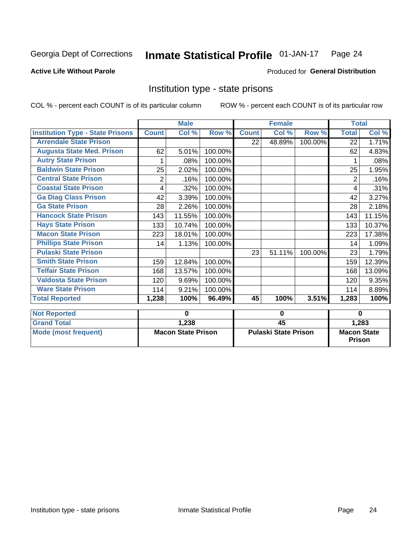#### Inmate Statistical Profile 01-JAN-17 Page 24

### **Active Life Without Parole**

#### Produced for General Distribution

## Institution type - state prisons

COL % - percent each COUNT is of its particular column

|                                         | <b>Male</b>               |        |          |                             | <b>Female</b> |          | <b>Total</b>                        |        |
|-----------------------------------------|---------------------------|--------|----------|-----------------------------|---------------|----------|-------------------------------------|--------|
| <b>Institution Type - State Prisons</b> | <b>Count</b>              | Col %  | Row %    | <b>Count</b>                | Col %         | Row %    | <b>Total</b>                        | Col %  |
| <b>Arrendale State Prison</b>           |                           |        |          | 22                          | 48.89%        | 100.00%  | 22                                  | 1.71%  |
| <b>Augusta State Med. Prison</b>        | 62                        | 5.01%  | 100.00%  |                             |               |          | 62                                  | 4.83%  |
| <b>Autry State Prison</b>               |                           | .08%   | 100.00%  |                             |               |          |                                     | .08%   |
| <b>Baldwin State Prison</b>             | 25                        | 2.02%  | 100.00%  |                             |               |          | 25                                  | 1.95%  |
| <b>Central State Prison</b>             | $\overline{2}$            | .16%   | 100.00%  |                             |               |          | 2                                   | .16%   |
| <b>Coastal State Prison</b>             | 4                         | .32%   | 100.00%  |                             |               |          | 4                                   | .31%   |
| <b>Ga Diag Class Prison</b>             | 42                        | 3.39%  | 100.00%  |                             |               |          | 42                                  | 3.27%  |
| <b>Ga State Prison</b>                  | 28                        | 2.26%  | 100.00%  |                             |               |          | 28                                  | 2.18%  |
| <b>Hancock State Prison</b>             | 143                       | 11.55% | 100.00%  |                             |               |          | 143                                 | 11.15% |
| <b>Hays State Prison</b>                | 133                       | 10.74% | 100.00%  |                             |               |          | 133                                 | 10.37% |
| <b>Macon State Prison</b>               | 223                       | 18.01% | 100.00%  |                             |               |          | 223                                 | 17.38% |
| <b>Phillips State Prison</b>            | 14                        | 1.13%  | 100.00%  |                             |               |          | 14                                  | 1.09%  |
| <b>Pulaski State Prison</b>             |                           |        |          | 23                          | 51.11%        | 100.00%  | 23                                  | 1.79%  |
| <b>Smith State Prison</b>               | 159                       | 12.84% | 100.00%  |                             |               |          | 159                                 | 12.39% |
| <b>Telfair State Prison</b>             | 168                       | 13.57% | 100.00%  |                             |               |          | 168                                 | 13.09% |
| <b>Valdosta State Prison</b>            | 120                       | 9.69%  | 100.00%  |                             |               |          | 120                                 | 9.35%  |
| <b>Ware State Prison</b>                | 114                       | 9.21%  | 100.00%  |                             |               |          | 114                                 | 8.89%  |
| <b>Total Reported</b>                   | 1,238                     | 100%   | 96.49%   | 45                          | 100%          | 3.51%    | 1,283                               | 100%   |
| <b>Not Reported</b>                     | $\bf{0}$                  |        | $\bf{0}$ |                             |               | $\bf{0}$ |                                     |        |
| <b>Grand Total</b>                      |                           | 1,238  |          | 45                          |               |          | 1,283                               |        |
| <b>Mode (most frequent)</b>             | <b>Macon State Prison</b> |        |          | <b>Pulaski State Prison</b> |               |          | <b>Macon State</b><br><b>Prison</b> |        |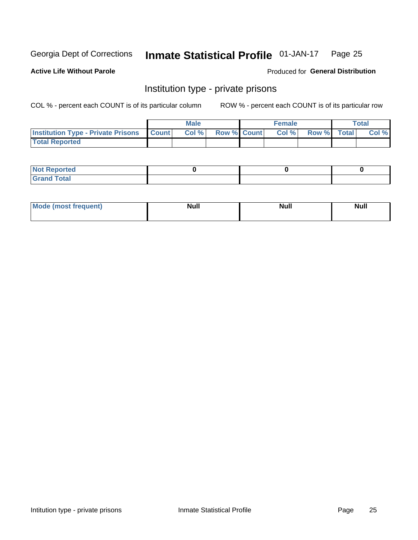#### Inmate Statistical Profile 01-JAN-17 Page 25

#### **Active Life Without Parole**

#### Produced for General Distribution

## Institution type - private prisons

COL % - percent each COUNT is of its particular column

|                                                 | <b>Male</b> |       |                    | <b>Female</b> |       |             | Total |       |
|-------------------------------------------------|-------------|-------|--------------------|---------------|-------|-------------|-------|-------|
| <b>Institution Type - Private Prisons Count</b> |             | Col % | <b>Row % Count</b> |               | Col % | Row % Total |       | Col % |
| <b>Total Reported</b>                           |             |       |                    |               |       |             |       |       |

| Not Reported          |  |  |
|-----------------------|--|--|
| <b>Cotal</b><br>_____ |  |  |

| <b>Mo</b><br>frequent) | <b>Null</b> | <b>Null</b> | . . I *<br><b>IVUII</b> |
|------------------------|-------------|-------------|-------------------------|
|                        |             |             |                         |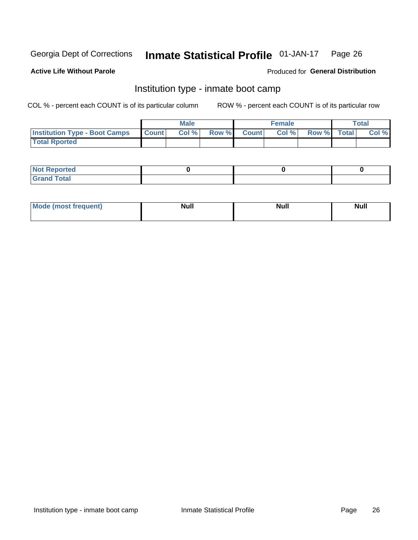#### Inmate Statistical Profile 01-JAN-17 Page 26

#### **Active Life Without Parole**

### Produced for General Distribution

## Institution type - inmate boot camp

COL % - percent each COUNT is of its particular column

|                                      | <b>Male</b>  |       |               | <b>Female</b> |       |             | <b>Total</b> |       |
|--------------------------------------|--------------|-------|---------------|---------------|-------|-------------|--------------|-------|
| <b>Institution Type - Boot Camps</b> | <b>Count</b> | Col % | <b>Row %I</b> | <b>Count</b>  | Col % | Row % Total |              | Col % |
| <b>Total Rported</b>                 |              |       |               |               |       |             |              |       |

| <b>Not Reported</b>            |  |  |
|--------------------------------|--|--|
| <b>Total</b><br>C <sub>r</sub> |  |  |

| Mod<br>uamo | Nul.<br>$- - - - - -$ | <b>Null</b> | . .<br>uu.<br>------ |
|-------------|-----------------------|-------------|----------------------|
|             |                       |             |                      |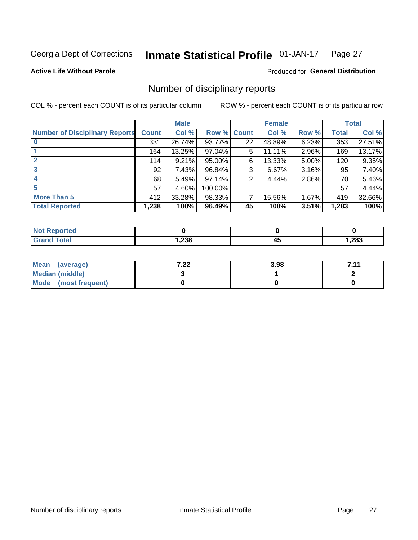#### Inmate Statistical Profile 01-JAN-17 Page 27

#### **Active Life Without Parole**

#### Produced for General Distribution

## Number of disciplinary reports

COL % - percent each COUNT is of its particular column

|                                       | <b>Male</b>  |        |         | <b>Female</b> |        |       | <b>Total</b> |        |
|---------------------------------------|--------------|--------|---------|---------------|--------|-------|--------------|--------|
| <b>Number of Disciplinary Reports</b> | <b>Count</b> | Col %  | Row %   | <b>Count</b>  | Col %  | Row % | <b>Total</b> | Col %  |
|                                       | 331          | 26.74% | 93.77%  | 22            | 48.89% | 6.23% | 353          | 27.51% |
|                                       | 164          | 13.25% | 97.04%  | 5             | 11.11% | 2.96% | 169          | 13.17% |
| 2                                     | 114          | 9.21%  | 95.00%  | 6             | 13.33% | 5.00% | 120          | 9.35%  |
| 3                                     | 92           | 7.43%  | 96.84%  | 3             | 6.67%  | 3.16% | 95           | 7.40%  |
|                                       | 68           | 5.49%  | 97.14%  | 2             | 4.44%  | 2.86% | 70           | 5.46%  |
| 5                                     | 57           | 4.60%  | 100.00% |               |        |       | 57           | 4.44%  |
| <b>More Than 5</b>                    | 412          | 33.28% | 98.33%  | 7             | 15.56% | 1.67% | 419          | 32.66% |
| <b>Total Reported</b>                 | 1,238        | 100%   | 96.49%  | 45            | 100%   | 3.51% | 1,283        | 100%   |

| NO<br>тео |      |   |       |
|-----------|------|---|-------|
| Гоtal     | ,238 | ᠇ | 1,283 |

| Mean (average)         | ר ר<br>$\mathbf{L}$ | 3.98 | 711 |
|------------------------|---------------------|------|-----|
| <b>Median (middle)</b> |                     |      |     |
| Mode (most frequent)   |                     |      |     |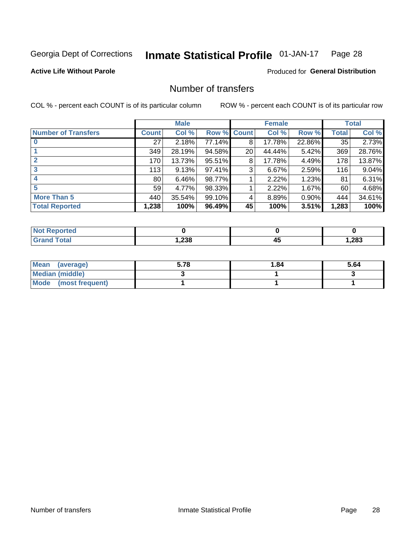#### **Inmate Statistical Profile 01-JAN-17** Page 28

### **Active Life Without Parole**

#### **Produced for General Distribution**

## Number of transfers

COL % - percent each COUNT is of its particular column

|                            |                 | <b>Male</b> |        |              | <b>Female</b> |          |       | <b>Total</b> |
|----------------------------|-----------------|-------------|--------|--------------|---------------|----------|-------|--------------|
| <b>Number of Transfers</b> | Count l         | Col %       | Row %  | <b>Count</b> | Col %         | Row %    | Total | Col %        |
|                            | 27              | 2.18%       | 77.14% | 8            | 17.78%        | 22.86%   | 35    | 2.73%        |
|                            | 349             | 28.19%      | 94.58% | 20           | 44.44%        | 5.42%    | 369   | 28.76%       |
| $\mathbf{2}$               | 170             | 13.73%      | 95.51% | 8            | 17.78%        | 4.49%    | 178   | 13.87%       |
| 3                          | 113             | 9.13%       | 97.41% | 3            | 6.67%         | 2.59%    | 116   | 9.04%        |
|                            | 80 <sub>1</sub> | 6.46%       | 98.77% |              | 2.22%         | 1.23%    | 81    | 6.31%        |
| 5                          | 59              | 4.77%       | 98.33% |              | 2.22%         | $1.67\%$ | 60    | 4.68%        |
| <b>More Than 5</b>         | 440             | 35.54%      | 99.10% | 4            | 8.89%         | 0.90%    | 444   | 34.61%       |
| <b>Total Reported</b>      | 1,238           | 100%        | 96.49% | 45           | 100%          | 3.51%    | 1,283 | 100%         |

| NO<br>тео |      |   |       |
|-----------|------|---|-------|
| Гоtal     | ,238 | ᠇ | 1,283 |

| Mean (average)         | 5.78 | 1.84 | 5.64 |
|------------------------|------|------|------|
| <b>Median (middle)</b> |      |      |      |
| Mode (most frequent)   |      |      |      |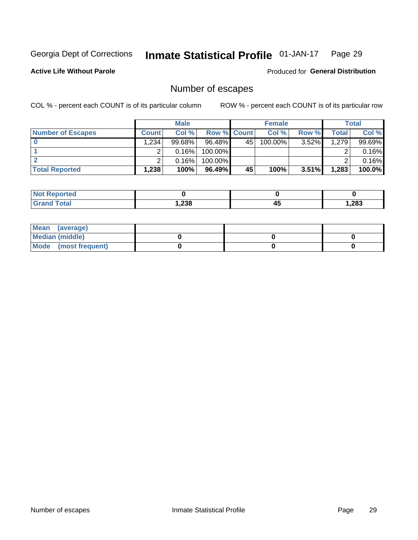#### Inmate Statistical Profile 01-JAN-17 Page 29

**Active Life Without Parole** 

**Produced for General Distribution** 

## Number of escapes

COL % - percent each COUNT is of its particular column

|                          |              | <b>Male</b> |                    |                 | <b>Female</b> |          |       | <b>Total</b> |
|--------------------------|--------------|-------------|--------------------|-----------------|---------------|----------|-------|--------------|
| <b>Number of Escapes</b> | <b>Count</b> | Col%        | <b>Row % Count</b> |                 | Col %         | Row %    | Total | Col %        |
|                          | .234         | 99.68%      | 96.48%             | 45 <sup>1</sup> | $100.00\%$    | $3.52\%$ | 1,279 | 99.69%       |
|                          |              | 0.16%       | 100.00%            |                 |               |          |       | 0.16%        |
|                          |              | 0.16%       | 100.00%            |                 |               |          |       | 0.16%        |
| <b>Total Reported</b>    | $.238^+$     | 100%        | 96.49%             | 45              | 100%          | 3.51%    | 1,283 | 100.0%       |

| <b>Not Reported</b> |       |         |       |
|---------------------|-------|---------|-------|
| <b>Grand Total</b>  | .238، | л.<br>∼ | 1,283 |

| Mean (average)       |  |  |
|----------------------|--|--|
| Median (middle)      |  |  |
| Mode (most frequent) |  |  |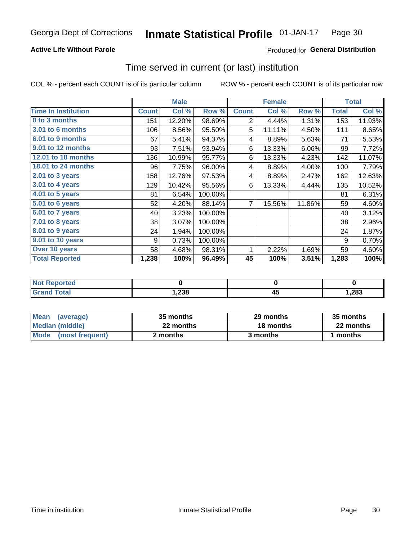### **Active Life Without Parole**

### Produced for General Distribution

## Time served in current (or last) institution

COL % - percent each COUNT is of its particular column

|                              |              | <b>Male</b> |         |              | <b>Female</b> | <b>Total</b> |              |        |
|------------------------------|--------------|-------------|---------|--------------|---------------|--------------|--------------|--------|
| <b>Time In Institution</b>   | <b>Count</b> | Col %       | Row %   | <b>Count</b> | Col %         | Row %        | <b>Total</b> | Col %  |
| 0 to 3 months                | 151          | 12.20%      | 98.69%  | 2            | 4.44%         | 1.31%        | 153          | 11.93% |
| <b>3.01 to 6 months</b>      | 106          | 8.56%       | 95.50%  | 5            | 11.11%        | 4.50%        | 111          | 8.65%  |
| 6.01 to 9 months             | 67           | 5.41%       | 94.37%  | 4            | 8.89%         | 5.63%        | 71           | 5.53%  |
| 9.01 to 12 months            | 93           | 7.51%       | 93.94%  | 6            | 13.33%        | 6.06%        | 99           | 7.72%  |
| <b>12.01 to 18 months</b>    | 136          | 10.99%      | 95.77%  | 6            | 13.33%        | 4.23%        | 142          | 11.07% |
| <b>18.01 to 24 months</b>    | 96           | 7.75%       | 96.00%  | 4            | 8.89%         | 4.00%        | 100          | 7.79%  |
| $2.01$ to 3 years            | 158          | 12.76%      | 97.53%  | 4            | 8.89%         | 2.47%        | 162          | 12.63% |
| 3.01 to 4 years              | 129          | 10.42%      | 95.56%  | 6            | 13.33%        | 4.44%        | 135          | 10.52% |
| $4.01$ to 5 years            | 81           | 6.54%       | 100.00% |              |               |              | 81           | 6.31%  |
| $\overline{5.01}$ to 6 years | 52           | 4.20%       | 88.14%  | 7            | 15.56%        | 11.86%       | 59           | 4.60%  |
| 6.01 to 7 years              | 40           | 3.23%       | 100.00% |              |               |              | 40           | 3.12%  |
| $7.01$ to 8 years            | 38           | 3.07%       | 100.00% |              |               |              | 38           | 2.96%  |
| 8.01 to 9 years              | 24           | 1.94%       | 100.00% |              |               |              | 24           | 1.87%  |
| 9.01 to 10 years             | 9            | 0.73%       | 100.00% |              |               |              | 9            | 0.70%  |
| Over 10 years                | 58           | 4.68%       | 98.31%  | 1            | 2.22%         | 1.69%        | 59           | 4.60%  |
| <b>Total Reported</b>        | 1,238        | 100%        | 96.49%  | 45           | 100%          | 3.51%        | 1,283        | 100%   |

| <b>Not Reported</b> |      |          |        |
|---------------------|------|----------|--------|
| <b>Total</b>        | ,238 | --<br>т. | 283, ا |

| <b>Mean</b><br>(average) | 35 months | 29 months | 35 months |
|--------------------------|-----------|-----------|-----------|
| Median (middle)          | 22 months | 18 months | 22 months |
| Mode (most frequent)     | 2 months  | 3 months  | 1 months  |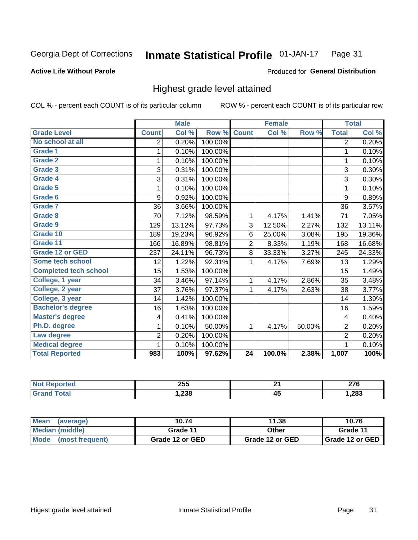#### **Active Life Without Parole**

#### Produced for General Distribution

## Highest grade level attained

COL % - percent each COUNT is of its particular column

|                              |                | <b>Male</b> |         |                | <b>Female</b> |        |                         | <b>Total</b> |
|------------------------------|----------------|-------------|---------|----------------|---------------|--------|-------------------------|--------------|
| <b>Grade Level</b>           | <b>Count</b>   | Col %       | Row %   | <b>Count</b>   | Col %         | Row %  | <b>Total</b>            | Col %        |
| No school at all             | 2              | 0.20%       | 100.00% |                |               |        | 2                       | 0.20%        |
| <b>Grade 1</b>               | 1              | 0.10%       | 100.00% |                |               |        | 1                       | 0.10%        |
| Grade 2                      | 1              | 0.10%       | 100.00% |                |               |        | 1                       | 0.10%        |
| Grade 3                      | 3              | 0.31%       | 100.00% |                |               |        | 3                       | 0.30%        |
| <b>Grade 4</b>               | 3              | 0.31%       | 100.00% |                |               |        | 3                       | 0.30%        |
| Grade 5                      | 1              | 0.10%       | 100.00% |                |               |        | 1                       | 0.10%        |
| Grade 6                      | 9              | 0.92%       | 100.00% |                |               |        | 9                       | 0.89%        |
| Grade 7                      | 36             | 3.66%       | 100.00% |                |               |        | 36                      | 3.57%        |
| Grade 8                      | 70             | 7.12%       | 98.59%  | 1              | 4.17%         | 1.41%  | 71                      | 7.05%        |
| Grade 9                      | 129            | 13.12%      | 97.73%  | 3              | 12.50%        | 2.27%  | 132                     | 13.11%       |
| Grade 10                     | 189            | 19.23%      | 96.92%  | 6              | 25.00%        | 3.08%  | 195                     | 19.36%       |
| Grade 11                     | 166            | 16.89%      | 98.81%  | $\overline{c}$ | 8.33%         | 1.19%  | 168                     | 16.68%       |
| <b>Grade 12 or GED</b>       | 237            | 24.11%      | 96.73%  | 8              | 33.33%        | 3.27%  | 245                     | 24.33%       |
| Some tech school             | 12             | 1.22%       | 92.31%  | 1              | 4.17%         | 7.69%  | 13                      | 1.29%        |
| <b>Completed tech school</b> | 15             | 1.53%       | 100.00% |                |               |        | 15                      | 1.49%        |
| College, 1 year              | 34             | 3.46%       | 97.14%  | 1              | 4.17%         | 2.86%  | 35                      | 3.48%        |
| College, 2 year              | 37             | 3.76%       | 97.37%  | 1              | 4.17%         | 2.63%  | 38                      | 3.77%        |
| College, 3 year              | 14             | 1.42%       | 100.00% |                |               |        | 14                      | 1.39%        |
| <b>Bachelor's degree</b>     | 16             | 1.63%       | 100.00% |                |               |        | 16                      | 1.59%        |
| <b>Master's degree</b>       | 4              | 0.41%       | 100.00% |                |               |        | $\overline{\mathbf{4}}$ | 0.40%        |
| Ph.D. degree                 | 1              | 0.10%       | 50.00%  | 1              | 4.17%         | 50.00% | $\overline{2}$          | 0.20%        |
| Law degree                   | $\overline{2}$ | 0.20%       | 100.00% |                |               |        | $\overline{2}$          | 0.20%        |
| <b>Medical degree</b>        |                | 0.10%       | 100.00% |                |               |        | 1                       | 0.10%        |
| <b>Total Reported</b>        | 983            | 100%        | 97.62%  | 24             | 100.0%        | 2.38%  | 1,007                   | 100%         |

| тео | 255  | $\sim$          | מדה<br>21 V |
|-----|------|-----------------|-------------|
|     | ,238 | . .<br>л.<br>᠇៴ | 1,283       |

| <b>Mean</b><br>(average) | 10.74           | 11.38           | 10.76             |
|--------------------------|-----------------|-----------------|-------------------|
| <b>Median (middle)</b>   | Grade 11        | Other           | Grade 11          |
| Mode<br>(most frequent)  | Grade 12 or GED | Grade 12 or GED | I Grade 12 or GED |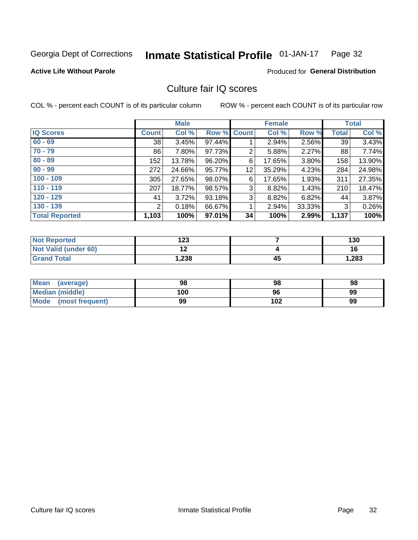#### Inmate Statistical Profile 01-JAN-17 Page 32

#### **Active Life Without Parole**

#### **Produced for General Distribution**

## Culture fair IQ scores

COL % - percent each COUNT is of its particular column

|                       |              | <b>Male</b> |                    |                | <b>Female</b> |          |              | <b>Total</b> |
|-----------------------|--------------|-------------|--------------------|----------------|---------------|----------|--------------|--------------|
| <b>IQ Scores</b>      | <b>Count</b> | Col %       | <b>Row % Count</b> |                | Col %         | Row %    | <b>Total</b> | Col %        |
| $60 - 69$             | 38           | 3.45%       | 97.44%             |                | 2.94%         | 2.56%    | 39           | 3.43%        |
| $70 - 79$             | 86           | 7.80%       | 97.73%             | $\overline{2}$ | 5.88%         | $2.27\%$ | 88           | 7.74%        |
| $80 - 89$             | 152          | 13.78%      | 96.20%             | 6              | 17.65%        | $3.80\%$ | 158          | 13.90%       |
| $90 - 99$             | 272          | 24.66%      | 95.77%             | 12             | 35.29%        | 4.23%    | 284          | 24.98%       |
| $100 - 109$           | 305          | 27.65%      | 98.07%             | 6              | 17.65%        | 1.93%    | 311          | 27.35%       |
| $110 - 119$           | 207          | 18.77%      | 98.57%             | 3              | 8.82%         | 1.43%    | 210          | 18.47%       |
| $120 - 129$           | 41           | 3.72%       | 93.18%             | 3              | 8.82%         | 6.82%    | 44           | 3.87%        |
| $130 - 139$           | 2            | 0.18%       | 66.67%             | 1              | 2.94%         | 33.33%   | 3            | 0.26%        |
| <b>Total Reported</b> | 1,103        | 100%        | 97.01%             | 34             | 100%          | 2.99%    | 1,137        | 100%         |

| <b>Not Reported</b>  | 123       |    | 130   |
|----------------------|-----------|----|-------|
| Not Valid (under 60) | 40<br>. . |    | 16    |
| <b>Grand Total</b>   | 238. ا    | 45 | 1,283 |

| Mean<br>(average)              | 98  | 98  | 98 |
|--------------------------------|-----|-----|----|
| <b>Median (middle)</b>         | 100 | 96  | 99 |
| <b>Mode</b><br>(most frequent) | 99  | 102 | 99 |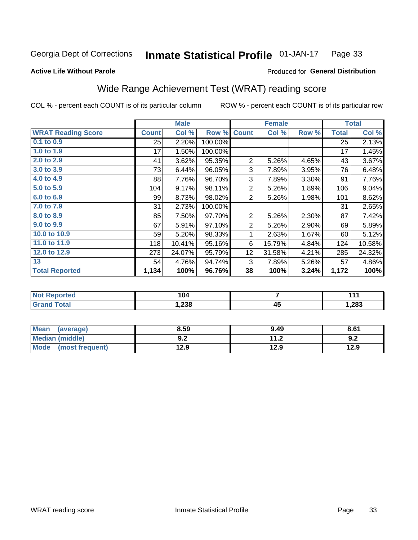#### Inmate Statistical Profile 01-JAN-17 Page 33

#### **Active Life Without Parole**

### Produced for General Distribution

## Wide Range Achievement Test (WRAT) reading score

COL % - percent each COUNT is of its particular column

| Col %<br>2.20%<br>1.50%<br>3.62%<br>6.44%<br>7.76%<br>9.17%<br>8.73% | Row %<br>100.00%<br>100.00%<br>95.35%<br>96.05%<br>96.70%<br>98.11%<br>98.02% | <b>Count</b><br>$\overline{2}$<br>3<br>3<br>$\overline{2}$ | Col %<br>5.26%<br>7.89%<br>7.89%<br>5.26% | Row %<br>4.65%<br>3.95%<br>3.30%<br>1.89% | <b>Total</b><br>25<br>17<br>43<br>76<br>91<br>106 | Col %<br>2.13%<br>1.45%<br>3.67%<br>6.48%<br>7.76%<br>9.04% |
|----------------------------------------------------------------------|-------------------------------------------------------------------------------|------------------------------------------------------------|-------------------------------------------|-------------------------------------------|---------------------------------------------------|-------------------------------------------------------------|
|                                                                      |                                                                               |                                                            |                                           |                                           |                                                   |                                                             |
|                                                                      |                                                                               |                                                            |                                           |                                           |                                                   |                                                             |
|                                                                      |                                                                               |                                                            |                                           |                                           |                                                   |                                                             |
|                                                                      |                                                                               |                                                            |                                           |                                           |                                                   |                                                             |
|                                                                      |                                                                               |                                                            |                                           |                                           |                                                   |                                                             |
|                                                                      |                                                                               |                                                            |                                           |                                           |                                                   |                                                             |
|                                                                      |                                                                               |                                                            |                                           |                                           |                                                   |                                                             |
|                                                                      |                                                                               | 2                                                          | 5.26%                                     | 1.98%                                     | 101                                               | 8.62%                                                       |
| 2.73%                                                                | 100.00%                                                                       |                                                            |                                           |                                           | 31                                                | 2.65%                                                       |
| 7.50%                                                                | 97.70%                                                                        | $\overline{2}$                                             | 5.26%                                     | 2.30%                                     | 87                                                | 7.42%                                                       |
| 5.91%                                                                | 97.10%                                                                        | $\overline{2}$                                             | 5.26%                                     | 2.90%                                     | 69                                                | 5.89%                                                       |
| 5.20%                                                                | 98.33%                                                                        | 1                                                          | 2.63%                                     | 1.67%                                     | 60                                                | 5.12%                                                       |
| 10.41%                                                               | 95.16%                                                                        | 6                                                          | 15.79%                                    | 4.84%                                     | 124                                               | 10.58%                                                      |
| 24.07%                                                               | 95.79%                                                                        | 12                                                         | 31.58%                                    | 4.21%                                     | 285                                               | 24.32%                                                      |
| 4.76%                                                                | 94.74%                                                                        | 3                                                          | 7.89%                                     | 5.26%                                     | 57                                                | 4.86%                                                       |
| 100%                                                                 | 96.76%                                                                        | 38                                                         | 100%                                      | 3.24%                                     | 1,172                                             | 100%                                                        |
|                                                                      |                                                                               |                                                            |                                           |                                           |                                                   |                                                             |

| <b>Not Reported</b>    | 104    |          | 444   |
|------------------------|--------|----------|-------|
| <b>Total</b><br>'Grand | 238، ، | ΛI<br>᠇ᡂ | 1,283 |

| <b>Mean</b><br>(average) | 8.59       | 9.49          | 8.61 |
|--------------------------|------------|---------------|------|
| Median (middle)          | י ה<br>J.L | 11 O<br>. . Z | 9.Z  |
| Mode<br>(most frequent)  | 12.9       | 12.9          | 12.9 |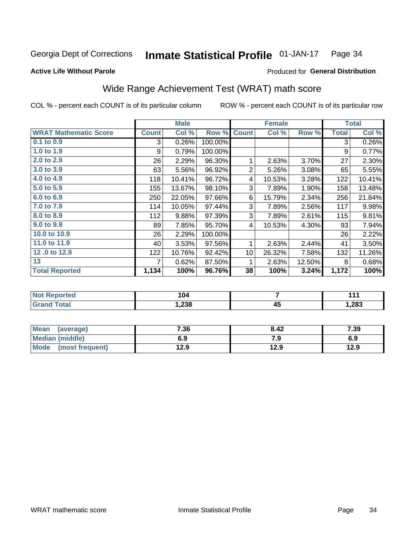#### **Inmate Statistical Profile 01-JAN-17** Page 34

#### **Active Life Without Parole**

### Produced for General Distribution

## Wide Range Achievement Test (WRAT) math score

COL % - percent each COUNT is of its particular column

| <b>Count</b><br>3<br>9<br>26 | Col %<br>0.26%<br>0.79%                         | Row %<br>100.00%<br>100.00% | <b>Count</b>    | Col %  | Row %  | <b>Total</b><br>3 | Col %<br>0.26% |
|------------------------------|-------------------------------------------------|-----------------------------|-----------------|--------|--------|-------------------|----------------|
|                              |                                                 |                             |                 |        |        |                   |                |
|                              |                                                 |                             |                 |        |        |                   |                |
|                              |                                                 |                             |                 |        |        | 9                 | 0.77%          |
|                              | 2.29%                                           | 96.30%                      | 1               | 2.63%  | 3.70%  | 27                | 2.30%          |
| 63                           | 5.56%                                           | 96.92%                      | 2               | 5.26%  | 3.08%  | 65                | 5.55%          |
|                              | 10.41%                                          | 96.72%                      | 4               | 10.53% | 3.28%  | 122               | 10.41%         |
|                              | 13.67%                                          | 98.10%                      | 3               | 7.89%  | 1.90%  | 158               | 13.48%         |
|                              | 22.05%                                          | 97.66%                      | 6               | 15.79% | 2.34%  | 256               | 21.84%         |
|                              | 10.05%                                          | 97.44%                      | $\mathbf{3}$    | 7.89%  | 2.56%  | 117               | 9.98%          |
|                              | 9.88%                                           | 97.39%                      | 3               | 7.89%  | 2.61%  | 115               | 9.81%          |
| 89                           | 7.85%                                           | 95.70%                      | 4               | 10.53% | 4.30%  | 93                | 7.94%          |
| 26                           | 2.29%                                           | 100.00%                     |                 |        |        | 26                | 2.22%          |
| 40                           | 3.53%                                           | 97.56%                      | 1               | 2.63%  | 2.44%  | 41                | 3.50%          |
|                              | 10.76%                                          | 92.42%                      | 10 <sup>1</sup> | 26.32% | 7.58%  | 132               | 11.26%         |
| 7                            | 0.62%                                           | 87.50%                      | 1               | 2.63%  | 12.50% | 8                 | 0.68%          |
|                              | 100%                                            | 96.76%                      | 38              | 100%   |        | 1,172             | 100%           |
|                              | 118<br>155<br>250<br>114<br>112<br>122<br>1,134 |                             |                 |        |        |                   | 3.24%          |

| <b>Not Reported</b>    | 104    |          | 444   |
|------------------------|--------|----------|-------|
| <b>Total</b><br>'Grand | 238، ، | ΛI<br>᠇ᡂ | 1,283 |

| Mean (average)         | 7.36 | 8.42 | 7.39 |
|------------------------|------|------|------|
| <b>Median (middle)</b> | 6.9  | 7.9  | 6.9  |
| Mode (most frequent)   | 12.9 | 12.9 | 12.9 |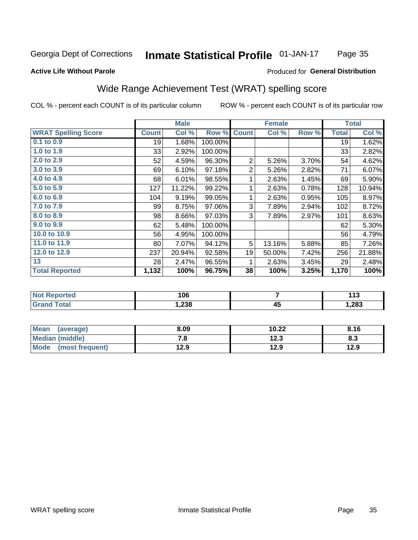#### Inmate Statistical Profile 01-JAN-17 Page 35

#### **Active Life Without Parole**

#### Produced for General Distribution

## Wide Range Achievement Test (WRAT) spelling score

COL % - percent each COUNT is of its particular column

|                            |              | <b>Male</b> |         |                | <b>Female</b> |       |              | <b>Total</b> |
|----------------------------|--------------|-------------|---------|----------------|---------------|-------|--------------|--------------|
| <b>WRAT Spelling Score</b> | <b>Count</b> | Col %       | Row %   | <b>Count</b>   | Col %         | Row % | <b>Total</b> | Col %        |
| $0.1$ to $0.9$             | 19           | 1.68%       | 100.00% |                |               |       | 19           | 1.62%        |
| 1.0 to 1.9                 | 33           | 2.92%       | 100.00% |                |               |       | 33           | 2.82%        |
| 2.0 to 2.9                 | 52           | 4.59%       | 96.30%  | $\overline{2}$ | 5.26%         | 3.70% | 54           | 4.62%        |
| 3.0 to 3.9                 | 69           | 6.10%       | 97.18%  | $\overline{2}$ | 5.26%         | 2.82% | 71           | 6.07%        |
| 4.0 to 4.9                 | 68           | 6.01%       | 98.55%  | 1              | 2.63%         | 1.45% | 69           | 5.90%        |
| 5.0 to 5.9                 | 127          | 11.22%      | 99.22%  | 1              | 2.63%         | 0.78% | 128          | 10.94%       |
| 6.0 to 6.9                 | 104          | 9.19%       | 99.05%  | 1              | 2.63%         | 0.95% | 105          | 8.97%        |
| 7.0 to 7.9                 | 99           | 8.75%       | 97.06%  | 3              | 7.89%         | 2.94% | 102          | 8.72%        |
| 8.0 to 8.9                 | 98           | 8.66%       | 97.03%  | 3              | 7.89%         | 2.97% | 101          | 8.63%        |
| 9.0 to 9.9                 | 62           | 5.48%       | 100.00% |                |               |       | 62           | 5.30%        |
| 10.0 to 10.9               | 56           | 4.95%       | 100.00% |                |               |       | 56           | 4.79%        |
| 11.0 to 11.9               | 80           | 7.07%       | 94.12%  | 5              | 13.16%        | 5.88% | 85           | 7.26%        |
| 12.0 to 12.9               | 237          | 20.94%      | 92.58%  | 19             | 50.00%        | 7.42% | 256          | 21.88%       |
| 13                         | 28           | 2.47%       | 96.55%  | 1              | 2.63%         | 3.45% | 29           | 2.48%        |
| <b>Total Reported</b>      | 1,132        | 100%        | 96.75%  | 38             | 100%          | 3.25% | 1,170        | 100%         |
|                            |              |             |         |                |               |       |              |              |

| <b>Not Reported</b> | 106   |    | 142<br>. |
|---------------------|-------|----|----------|
| Total<br>Grand      | 238.، | 45 | 1,283    |

| <b>Mean</b><br>(average) | 8.09 | 10.22 | 8.16 |
|--------------------------|------|-------|------|
| Median (middle)          | . о  | 12.3  | ი.ა  |
| Mode<br>(most frequent)  | 12.9 | 12.9  | 12.9 |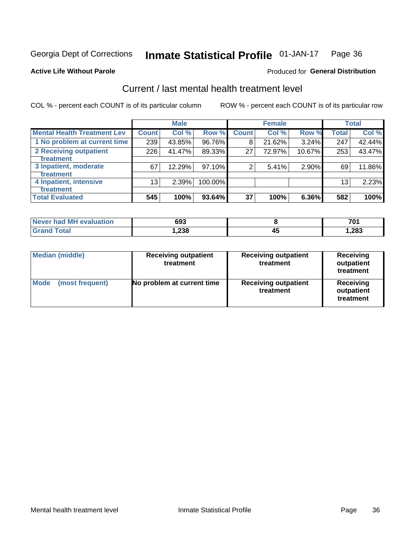#### Inmate Statistical Profile 01-JAN-17 Page 36

#### **Active Life Without Parole**

#### **Produced for General Distribution**

## Current / last mental health treatment level

COL % - percent each COUNT is of its particular column

|                                    |              | <b>Male</b> |           |                    | <b>Female</b> |        |                 | <b>Total</b> |
|------------------------------------|--------------|-------------|-----------|--------------------|---------------|--------|-----------------|--------------|
| <b>Mental Health Treatment Lev</b> | <b>Count</b> | Col %       | Row %     | Count <sup>1</sup> | Col%          | Row %  | <b>Total</b>    | Col %        |
| 1 No problem at current time       | 239          | 43.85%      | 96.76%    | 8                  | 21.62%        | 3.24%  | 247             | 42.44%       |
| 2 Receiving outpatient             | 226          | 41.47%      | 89.33%    | 27                 | 72.97%        | 10.67% | 253             | 43.47%       |
| <b>Treatment</b>                   |              |             |           |                    |               |        |                 |              |
| 3 Inpatient, moderate              | 67           | 12.29%      | $97.10\%$ | 2                  | 5.41%         | 2.90%  | 69              | 11.86%       |
| <b>Treatment</b>                   |              |             |           |                    |               |        |                 |              |
| 4 Inpatient, intensive             | 13           | 2.39%       | 100.00%   |                    |               |        | 13 <sub>1</sub> | 2.23%        |
| Treatment                          |              |             |           |                    |               |        |                 |              |
| <b>Total Evaluated</b>             | 545          | 100%        | 93.64%    | 37                 | 100%          | 6.36%  | 582             | 100%         |

| Never had MH evaluation | 693   |    | 701    |
|-------------------------|-------|----|--------|
| Total                   | .238. | ᠇֊ | 283. ا |

| <b>Median (middle)</b>         | <b>Receiving outpatient</b><br>treatment | <b>Receiving outpatient</b><br>treatment | <b>Receiving</b><br>outpatient<br>treatment |  |
|--------------------------------|------------------------------------------|------------------------------------------|---------------------------------------------|--|
| <b>Mode</b><br>(most frequent) | No problem at current time               | <b>Receiving outpatient</b><br>treatment | Receiving<br>outpatient<br>treatment        |  |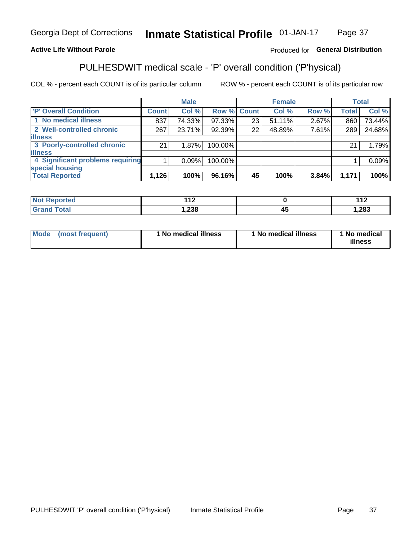#### Inmate Statistical Profile 01-JAN-17 Page 37

### **Active Life Without Parole**

### Produced for General Distribution

## PULHESDWIT medical scale - 'P' overall condition ('P'hysical)

COL % - percent each COUNT is of its particular column

|                                  |         | <b>Male</b> |                    |    | <b>Female</b> |       |              | <b>Total</b> |
|----------------------------------|---------|-------------|--------------------|----|---------------|-------|--------------|--------------|
| 'P' Overall Condition            | Count l | Col %       | <b>Row % Count</b> |    | Col %         | Row % | <b>Total</b> | Col %        |
| 1 No medical illness             | 837     | 74.33%      | 97.33%             | 23 | 51.11%        | 2.67% | 860          | 73.44%       |
| 2 Well-controlled chronic        | 267     | 23.71%      | 92.39%             | 22 | 48.89%        | 7.61% | 289          | 24.68%       |
| <b>illness</b>                   |         |             |                    |    |               |       |              |              |
| 3 Poorly-controlled chronic      | 21      | 1.87%       | 100.00%            |    |               |       | 21           | 1.79%        |
| <b>illness</b>                   |         |             |                    |    |               |       |              |              |
| 4 Significant problems requiring |         | 0.09%       | 100.00%            |    |               |       |              | 0.09%        |
| special housing                  |         |             |                    |    |               |       |              |              |
| <b>Total Reported</b>            | 1,126   | 100%        | 96.16%             | 45 | 100%          | 3.84% | 1,171        | 100%         |

| τeα   | $\sim$<br>. . |                      | 110<br>$\overline{\phantom{a}}$ |
|-------|---------------|----------------------|---------------------------------|
| _____ | ົດດດ<br>ەد∡,  | $\mathbf{r}$<br>$-1$ | ,283                            |

| <b>Mode</b> | (most frequent) | 1 No medical illness | 1 No medical illness | 1 No medical<br>illness |
|-------------|-----------------|----------------------|----------------------|-------------------------|
|-------------|-----------------|----------------------|----------------------|-------------------------|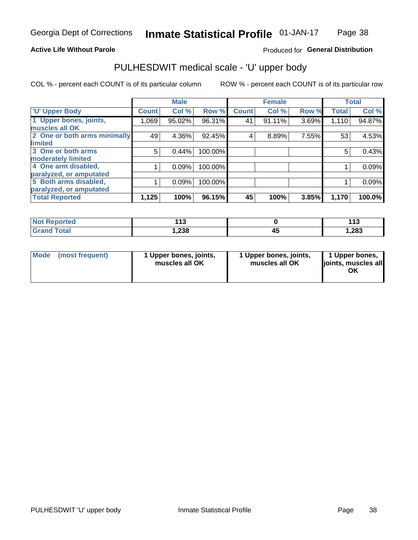### **Active Life Without Parole**

### Produced for General Distribution

## PULHESDWIT medical scale - 'U' upper body

COL % - percent each COUNT is of its particular column

|                              |               | <b>Male</b> |         |              | <b>Female</b> |       |              | <b>Total</b> |
|------------------------------|---------------|-------------|---------|--------------|---------------|-------|--------------|--------------|
| <b>U' Upper Body</b>         | <b>Count!</b> | Col %       | Row %   | <b>Count</b> | Col %         | Row % | <b>Total</b> | Col %        |
| 1 Upper bones, joints,       | 1,069         | 95.02%      | 96.31%  | 41           | $91.11\%$     | 3.69% | 1,110        | 94.87%       |
| muscles all OK               |               |             |         |              |               |       |              |              |
| 2 One or both arms minimally | 49            | 4.36%       | 92.45%  | 4            | 8.89%         | 7.55% | 53           | 4.53%        |
| limited                      |               |             |         |              |               |       |              |              |
| 3 One or both arms           | 5             | 0.44%       | 100.00% |              |               |       | 5            | 0.43%        |
| <b>moderately limited</b>    |               |             |         |              |               |       |              |              |
| 4 One arm disabled,          |               | 0.09%       | 100.00% |              |               |       |              | 0.09%        |
| paralyzed, or amputated      |               |             |         |              |               |       |              |              |
| 5 Both arms disabled,        |               | 0.09%       | 100.00% |              |               |       |              | 0.09%        |
| paralyzed, or amputated      |               |             |         |              |               |       |              |              |
| <b>Total Reported</b>        | 1,125         | 100%        | 96.15%  | 45           | 100%          | 3.85% | 1,170        | 100.0%       |

| <b>Not Reported</b> | <b>145</b><br>. . | $\overline{A}$<br>ט ו |
|---------------------|-------------------|-----------------------|
| <b>Grand Total</b>  | າາວ<br>30م. ا     | 283, ا                |

| Mode (most frequent) | 1 Upper bones, joints,<br>muscles all OK | 1 Upper bones, joints,<br>muscles all OK | 1 Upper bones,<br>joints, muscles all<br>ΟK |
|----------------------|------------------------------------------|------------------------------------------|---------------------------------------------|
|----------------------|------------------------------------------|------------------------------------------|---------------------------------------------|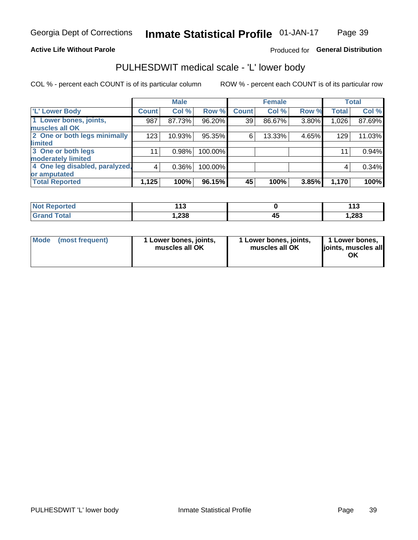### **Active Life Without Parole**

### Produced for General Distribution

## PULHESDWIT medical scale - 'L' lower body

COL % - percent each COUNT is of its particular column

|                                |              | <b>Male</b> |         |                 | <b>Female</b> |       |              | <b>Total</b> |
|--------------------------------|--------------|-------------|---------|-----------------|---------------|-------|--------------|--------------|
| 'L' Lower Body                 | <b>Count</b> | Col %       | Row %   | <b>Count</b>    | Col %         | Row % | <b>Total</b> | Col %        |
| 1 Lower bones, joints,         | 987          | 87.73%      | 96.20%  | 39 <sup>1</sup> | 86.67%        | 3.80% | 1,026        | 87.69%       |
| muscles all OK                 |              |             |         |                 |               |       |              |              |
| 2 One or both legs minimally   | 123          | 10.93%      | 95.35%  | 6               | 13.33%        | 4.65% | 129          | 11.03%       |
| limited                        |              |             |         |                 |               |       |              |              |
| 3 One or both legs             | 11           | 0.98%       | 100.00% |                 |               |       | 11           | 0.94%        |
| moderately limited             |              |             |         |                 |               |       |              |              |
| 4 One leg disabled, paralyzed, | 4            | 0.36%       | 100.00% |                 |               |       | 4            | 0.34%        |
| or amputated                   |              |             |         |                 |               |       |              |              |
| <b>Total Reported</b>          | 1,125        | 100%        | 96.15%  | 45              | 100%          | 3.85% | 1,170        | 100%         |

| <b>Not Reported</b> | $\overline{a}$<br>. . |   | 440<br>ט ו |
|---------------------|-----------------------|---|------------|
| <b>Grand Total</b>  | 1,238                 | ᠇ | 1,283      |

|  | Mode (most frequent) | 1 Lower bones, joints,<br>muscles all OK | 1 Lower bones, joints,<br>muscles all OK | 1 Lower bones,<br>ljoints, muscles all<br>ΟK |
|--|----------------------|------------------------------------------|------------------------------------------|----------------------------------------------|
|--|----------------------|------------------------------------------|------------------------------------------|----------------------------------------------|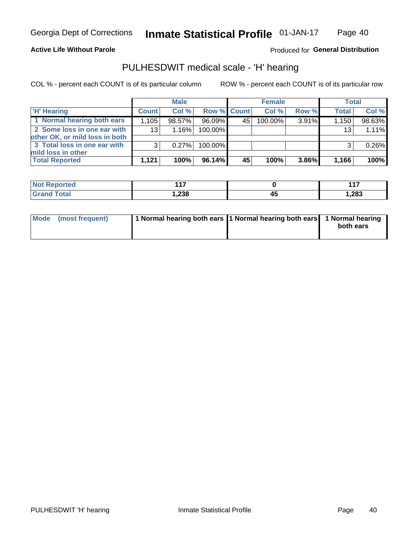### **Active Life Without Parole**

### Produced for General Distribution

## PULHESDWIT medical scale - 'H' hearing

COL % - percent each COUNT is of its particular column

|                                                               |              | <b>Male</b> |             |    | <b>Female</b> |       | <b>Total</b> |        |
|---------------------------------------------------------------|--------------|-------------|-------------|----|---------------|-------|--------------|--------|
| <b>H'</b> Hearing                                             | <b>Count</b> | Col %       | Row % Count |    | Col%          | Row % | <b>Total</b> | Col %  |
| 1 Normal hearing both ears                                    | 1,105        | 98.57%      | 96.09%      | 45 | 100.00%       | 3.91% | 1,150        | 98.63% |
| 2 Some loss in one ear with<br>other OK, or mild loss in both | 13           | 1.16%       | 100.00%     |    |               |       | 13           | 1.11%  |
| 3 Total loss in one ear with<br>mild loss in other            | 3            | 0.27%       | 100.00%     |    |               |       | 3            | 0.26%  |
| <b>Total Reported</b>                                         | 1.121        | 100%        | 96.14%      | 45 | 100%          | 3.86% | 1,166        | 100%   |

| <b>Not</b>      | $\overline{A}$ |    | 447   |
|-----------------|----------------|----|-------|
| <b>Reported</b> |                |    | .     |
| <b>Total</b>    | 238،،          | 43 | 1,283 |

| Mode (most frequent) | 1 Normal hearing both ears 1 Normal hearing both ears 1 Normal hearing | both ears |
|----------------------|------------------------------------------------------------------------|-----------|
|----------------------|------------------------------------------------------------------------|-----------|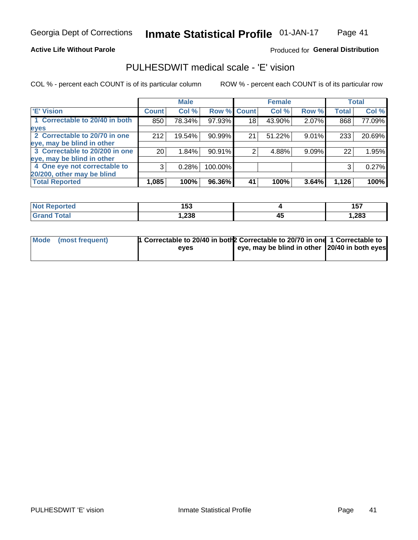### **Active Life Without Parole**

### Produced for General Distribution

## PULHESDWIT medical scale - 'E' vision

COL % - percent each COUNT is of its particular column

|                                |                 | <b>Male</b> |             |    | <b>Female</b> |          |              | <b>Total</b> |
|--------------------------------|-----------------|-------------|-------------|----|---------------|----------|--------------|--------------|
| <b>E' Vision</b>               | <b>Count</b>    | Col %       | Row % Count |    | Col %         | Row %    | <b>Total</b> | Col %        |
| 1 Correctable to 20/40 in both | 850             | 78.34%      | 97.93%      | 18 | 43.90%        | 2.07%    | 868          | 77.09%       |
| eyes                           |                 |             |             |    |               |          |              |              |
| 2 Correctable to 20/70 in one  | 212             | 19.54%      | 90.99%      | 21 | 51.22%        | $9.01\%$ | 233          | 20.69%       |
| eye, may be blind in other     |                 |             |             |    |               |          |              |              |
| 3 Correctable to 20/200 in one | 20 <sub>1</sub> | 1.84%       | 90.91%      |    | 4.88%         | 9.09%    | 22           | 1.95%        |
| eye, may be blind in other     |                 |             |             |    |               |          |              |              |
| 4 One eye not correctable to   | 3               | 0.28%       | 100.00%     |    |               |          | 3            | 0.27%        |
| 20/200, other may be blind     |                 |             |             |    |               |          |              |              |
| <b>Total Reported</b>          | 1,085           | 100%        | 96.36%      | 41 | 100%          | 3.64%    | 1,126        | 100%         |

| orted<br><b>NOT KEDIRE</b><br>. | 1 P A<br>טטו |    | <b>457</b><br>ישו |
|---------------------------------|--------------|----|-------------------|
| Total                           | ,238         | 45 | .283              |

| Mode (most frequent) | 1 Correctable to 20/40 in both 2 Correctable to 20/70 in one 1 Correctable to |                                               |  |
|----------------------|-------------------------------------------------------------------------------|-----------------------------------------------|--|
|                      | eves                                                                          | eye, may be blind in other 20/40 in both eyes |  |
|                      |                                                                               |                                               |  |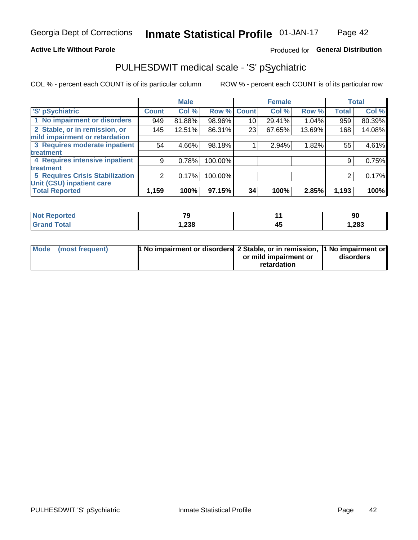### **Active Life Without Parole**

### Produced for General Distribution

## PULHESDWIT medical scale - 'S' pSychiatric

COL % - percent each COUNT is of its particular column

|                                        |              | <b>Male</b> |         |              | <b>Female</b> |        |              | <b>Total</b> |
|----------------------------------------|--------------|-------------|---------|--------------|---------------|--------|--------------|--------------|
| 'S' pSychiatric                        | <b>Count</b> | Col %       | Row %   | <b>Count</b> | Col %         | Row %  | <b>Total</b> | Col %        |
| 1 No impairment or disorders           | 949          | 81.88%      | 98.96%  | 10           | 29.41%        | 1.04%  | 959          | 80.39%       |
| 2 Stable, or in remission, or          | 145          | 12.51%      | 86.31%  | 23           | 67.65%        | 13.69% | 168          | 14.08%       |
| mild impairment or retardation         |              |             |         |              |               |        |              |              |
| 3 Requires moderate inpatient          | 54           | 4.66%       | 98.18%  |              | 2.94%         | 1.82%  | 55           | 4.61%        |
| treatment                              |              |             |         |              |               |        |              |              |
| 4 Requires intensive inpatient         | 9            | 0.78%       | 100.00% |              |               |        | 9            | 0.75%        |
| <b>treatment</b>                       |              |             |         |              |               |        |              |              |
| <b>5 Requires Crisis Stabilization</b> | 2            | 0.17%       | 100.00% |              |               |        | 2            | 0.17%        |
| Unit (CSU) inpatient care              |              |             |         |              |               |        |              |              |
| <b>Total Reported</b>                  | 1,159        | 100%        | 97.15%  | 34           | 100%          | 2.85%  | 1,193        | 100%         |

| <b>Not Reported</b>          | 70<br>$-$ | 90    |
|------------------------------|-----------|-------|
| <b>Total</b><br><b>C</b> ron | 1,238     | 1,283 |

| Mode (most frequent) | <b>1 No impairment or disorders</b> 2 Stable, or in remission, 11 No impairment or |                       |           |
|----------------------|------------------------------------------------------------------------------------|-----------------------|-----------|
|                      |                                                                                    | or mild impairment or | disorders |
|                      |                                                                                    | retardation           |           |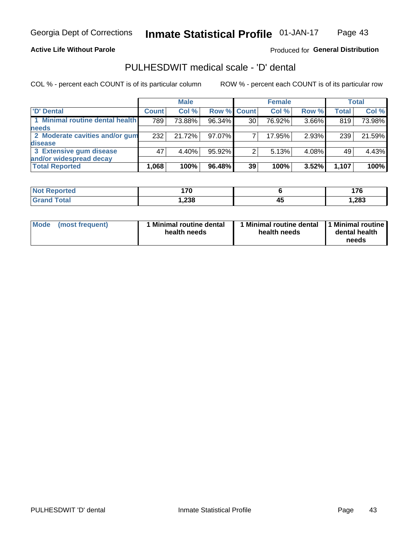### **Active Life Without Parole**

### Produced for General Distribution

## PULHESDWIT medical scale - 'D' dental

COL % - percent each COUNT is of its particular column

|                                 |              | <b>Male</b> |                    |    | <b>Female</b> |       |              | Total  |
|---------------------------------|--------------|-------------|--------------------|----|---------------|-------|--------------|--------|
| 'D' Dental                      | <b>Count</b> | Col %       | <b>Row % Count</b> |    | Col %         | Row % | <b>Total</b> | Col %  |
| 1 Minimal routine dental health | 789          | 73.88%      | 96.34%             | 30 | 76.92%        | 3.66% | 819          | 73.98% |
| <b>needs</b>                    |              |             |                    |    |               |       |              |        |
| 2 Moderate cavities and/or gum  | 232          | 21.72%      | 97.07%             |    | 17.95%        | 2.93% | 239          | 21.59% |
| <b>disease</b>                  |              |             |                    |    |               |       |              |        |
| 3 Extensive gum disease         | 47           | 4.40%       | 95.92%             |    | 5.13%         | 4.08% | 49           | 4.43%  |
| and/or widespread decay         |              |             |                    |    |               |       |              |        |
| <b>Total Reported</b>           | 1,068        | 100%        | 96.48%             | 39 | 100%          | 3.52% | 1,107        | 100%   |

| prtea<br>NOT F<br> | 170  |         | .     |
|--------------------|------|---------|-------|
| Tota               | ,238 | Д.<br>┱ | 1,283 |

| <b>Mode</b>     | Minimal routine dental | Minimal routine dental 11 Minimal routine | dental health |
|-----------------|------------------------|-------------------------------------------|---------------|
| (most frequent) | health needs           | health needs                              | needs         |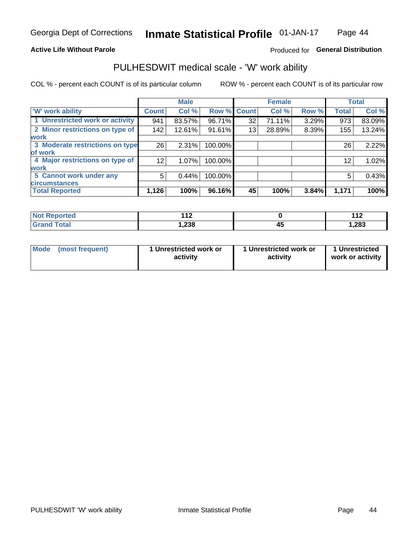### **Active Life Without Parole**

### Produced for General Distribution

## PULHESDWIT medical scale - 'W' work ability

COL % - percent each COUNT is of its particular column

|                                 |                 | <b>Male</b> |         |             | <b>Female</b> |       |              | <b>Total</b> |
|---------------------------------|-----------------|-------------|---------|-------------|---------------|-------|--------------|--------------|
| <b>W' work ability</b>          | <b>Count</b>    | Col %       |         | Row % Count | Col %         | Row % | <b>Total</b> | Col %        |
| 1 Unrestricted work or activity | 941             | 83.57%      | 96.71%  | 32          | 71.11%        | 3.29% | 973          | 83.09%       |
| 2 Minor restrictions on type of | 142             | 12.61%      | 91.61%  | 13          | 28.89%        | 8.39% | 155          | 13.24%       |
| <b>work</b>                     |                 |             |         |             |               |       |              |              |
| 3 Moderate restrictions on type | 26              | 2.31%       | 100.00% |             |               |       | 26           | 2.22%        |
| lof work                        |                 |             |         |             |               |       |              |              |
| 4 Major restrictions on type of | 12 <sub>1</sub> | $1.07\%$    | 100.00% |             |               |       | 12           | 1.02%        |
| <b>work</b>                     |                 |             |         |             |               |       |              |              |
| 5 Cannot work under any         | 5               | 0.44%       | 100.00% |             |               |       | 5            | 0.43%        |
| <b>circumstances</b>            |                 |             |         |             |               |       |              |              |
| <b>Total Reported</b>           | 1,126           | 100%        | 96.16%  | 45          | 100%          | 3.84% | 1,171        | 100%         |

| <b>Not Reported</b>          | 44 <sup>o</sup><br>. . |          | 1 4 C<br>. |
|------------------------------|------------------------|----------|------------|
| <b>Total</b><br><b>Grand</b> | 1,238                  | ⊿•<br>᠇u | 1,283      |

| Mode (most frequent) | 1 Unrestricted work or | 1 Unrestricted work or | 1 Unrestricted   |
|----------------------|------------------------|------------------------|------------------|
|                      | activity               | activity               | work or activity |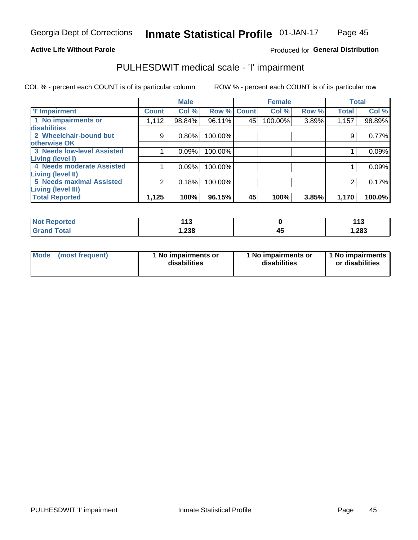### **Active Life Without Parole**

### Produced for General Distribution

## PULHESDWIT medical scale - 'I' impairment

COL % - percent each COUNT is of its particular column ROW % - percent each COUNT is of its particular row

|                                                       |              | <b>Male</b> |             |    | <b>Female</b> |       |              | <b>Total</b> |
|-------------------------------------------------------|--------------|-------------|-------------|----|---------------|-------|--------------|--------------|
| <b>T' Impairment</b>                                  | <b>Count</b> | Col %       | Row % Count |    | Col %         | Row % | <b>Total</b> | Col %        |
| 1 No impairments or<br>disabilities                   | 1,112        | 98.84%      | 96.11%      | 45 | 100.00%       | 3.89% | 1,157        | 98.89%       |
| 2 Wheelchair-bound but<br>otherwise OK                | 9            | $0.80\%$    | 100.00%     |    |               |       |              | 0.77%        |
| <b>3 Needs low-level Assisted</b><br>Living (level I) |              | 0.09%       | 100.00%     |    |               |       |              | 0.09%        |
| 4 Needs moderate Assisted<br>Living (level II)        |              | 0.09%       | 100.00%     |    |               |       |              | 0.09%        |
| <b>5 Needs maximal Assisted</b><br>Living (level III) | 2            | 0.18%       | 100.00%     |    |               |       |              | 0.17%        |
| <b>Total Reported</b>                                 | 1,125        | 100%        | 96.15%      | 45 | 100%          | 3.85% | 1,170        | 100.0%       |

| <b>orted</b> | 442<br><br>$\sim$ |    | 442<br>. |
|--------------|-------------------|----|----------|
| <b>otal</b>  | 238, ا            | ŀ. | 1,283    |

| Mode | (most frequent) | 1 No impairments or<br>disabilities | 1 No impairments or<br>disabilities | 1 No impairments<br>or disabilities |
|------|-----------------|-------------------------------------|-------------------------------------|-------------------------------------|
|------|-----------------|-------------------------------------|-------------------------------------|-------------------------------------|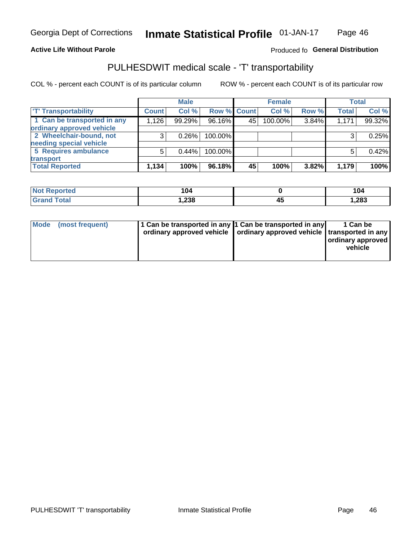### **Active Life Without Parole**

### Produced fo General Distribution

## PULHESDWIT medical scale - 'T' transportability

COL % - percent each COUNT is of its particular column

|                             |              | <b>Male</b> |             |    | <b>Female</b> |       |              | <b>Total</b> |
|-----------------------------|--------------|-------------|-------------|----|---------------|-------|--------------|--------------|
| <b>T' Transportability</b>  | <b>Count</b> | Col %       | Row % Count |    | Col %         | Row % | <b>Total</b> | Col %        |
| 1 Can be transported in any | 1,126        | 99.29%      | 96.16%      | 45 | 100.00%       | 3.84% | 1,171        | 99.32%       |
| ordinary approved vehicle   |              |             |             |    |               |       |              |              |
| 2 Wheelchair-bound, not     |              | 0.26%       | 100.00%     |    |               |       |              | 0.25%        |
| needing special vehicle     |              |             |             |    |               |       |              |              |
| 5 Requires ambulance        |              | 0.44%       | 100.00%     |    |               |       |              | 0.42%        |
| transport                   |              |             |             |    |               |       |              |              |
| <b>Total Reported</b>       | 1,134        | 100%        | 96.18%      | 45 | 100%          | 3.82% | 1,179        | 100%         |

| eported | 104  |    | 104   |
|---------|------|----|-------|
|         | 238, | тъ | 1,283 |

| Mode (most frequent) | 1 Can be transported in any 1 Can be transported in any | ordinary approved vehicle   ordinary approved vehicle   transported in any | 1 Can be<br>ordinary approved<br>vehicle |
|----------------------|---------------------------------------------------------|----------------------------------------------------------------------------|------------------------------------------|
|                      |                                                         |                                                                            |                                          |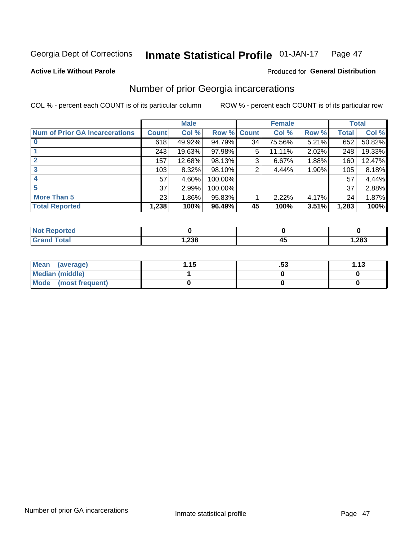#### Inmate Statistical Profile 01-JAN-17 Page 47

**Active Life Without Parole** 

### **Produced for General Distribution**

## Number of prior Georgia incarcerations

COL % - percent each COUNT is of its particular column

|                                       |              | <b>Male</b> |                    |    | <b>Female</b> |       |       | <b>Total</b> |
|---------------------------------------|--------------|-------------|--------------------|----|---------------|-------|-------|--------------|
| <b>Num of Prior GA Incarcerations</b> | <b>Count</b> | Col %       | <b>Row % Count</b> |    | Col %         | Row % | Total | Col %        |
|                                       | 618          | 49.92%      | 94.79%             | 34 | 75.56%        | 5.21% | 652   | 50.82%       |
|                                       | 243          | 19.63%      | 97.98%             | 5  | 11.11%        | 2.02% | 248   | 19.33%       |
|                                       | 157          | 12.68%      | 98.13%             | 3  | 6.67%         | 1.88% | 160   | 12.47%       |
| 3                                     | 103          | 8.32%       | 98.10%             | 2  | 4.44%         | 1.90% | 105   | 8.18%        |
|                                       | 57           | 4.60%       | 100.00%            |    |               |       | 57    | 4.44%        |
| 5                                     | 37           | 2.99%       | 100.00%            |    |               |       | 37    | 2.88%        |
| <b>More Than 5</b>                    | 23           | 1.86%       | 95.83%             |    | 2.22%         | 4.17% | 24    | 1.87%        |
| <b>Total Reported</b>                 | 1,238        | 100%        | 96.49%             | 45 | 100%          | 3.51% | 1,283 | 100%         |

| <b>orted</b><br><b>NI</b>       |       |    |       |
|---------------------------------|-------|----|-------|
| <b>otal</b><br>$\mathbf{v}$ and | 1,238 | די | 1,283 |

| Mean (average)         | 1.15 | .აა | 1.13 |
|------------------------|------|-----|------|
| <b>Median (middle)</b> |      |     |      |
| Mode (most frequent)   |      |     |      |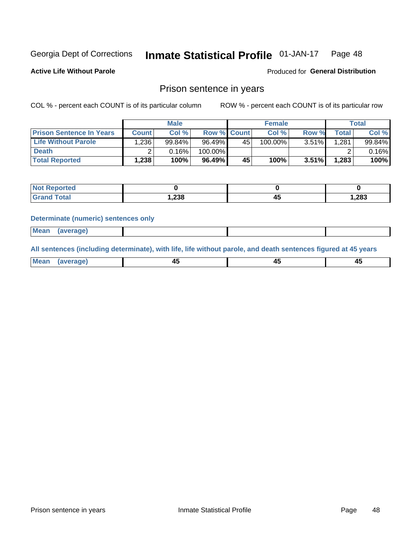#### Inmate Statistical Profile 01-JAN-17 Page 48

**Active Life Without Parole** 

Produced for General Distribution

### Prison sentence in years

COL % - percent each COUNT is of its particular column

ROW % - percent each COUNT is of its particular row

|                                 |         | <b>Male</b> |                    |    | <b>Female</b> |          |       | Total  |
|---------------------------------|---------|-------------|--------------------|----|---------------|----------|-------|--------|
| <b>Prison Sentence In Years</b> | Count l | Col %       | <b>Row % Count</b> |    | Col %         | Row %    | Total | Col %  |
| <b>Life Without Parole</b>      | ٔ 236.، | 99.84%      | 96.49%             | 45 | 100.00%       | 3.51%    | 1.281 | 99.84% |
| <b>Death</b>                    |         | 0.16%       | 100.00%            |    |               |          |       | 0.16%  |
| <b>Total Reported</b>           | 1,238   | 100%        | $96.49\%$          | 45 | 100%          | $3.51\%$ | 1,283 | 100%   |

| ported      |       |       |
|-------------|-------|-------|
| <b>otal</b> | 1,238 | 1,283 |

#### **Determinate (numeric) sentences only**

| ' Mea<br><b>Service</b> A<br>ЯМА. |  |  |  |
|-----------------------------------|--|--|--|
|                                   |  |  |  |

All sentences (including determinate), with life, life without parole, and death sentences figured at 45 years

| MС<br>a r -<br>-- |         |  |  |
|-------------------|---------|--|--|
|                   | ------- |  |  |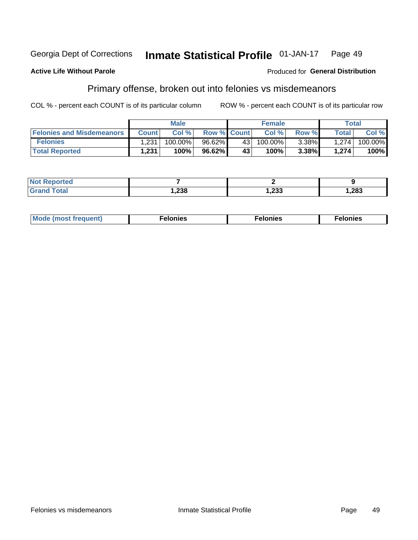#### Georgia Dept of Corrections **Inmate Statistical Profile 01-JAN-17** Page 49

#### **Active Life Without Parole**

#### Produced for General Distribution

## Primary offense, broken out into felonies vs misdemeanors

COL % - percent each COUNT is of its particular column

|                                  |              | <b>Male</b> |                    |      | <b>Female</b> |       |       | Total   |
|----------------------------------|--------------|-------------|--------------------|------|---------------|-------|-------|---------|
| <b>Felonies and Misdemeanors</b> | <b>Count</b> | Col%        | <b>Row % Count</b> |      | Col%          | Row % | Total | Col %   |
| <b>Felonies</b>                  | 1.231        | 100.00%     | 96.62%             | 43 l | 100.00%       | 3.38% | 1.274 | 100.00% |
| <b>Total Reported</b>            | 1,231        | 100%        | 96.62%             | 43   | 100%          | 3.38% | 1.274 | 100%    |

| <b>Not Reported</b> |       |        |       |
|---------------------|-------|--------|-------|
| d Total<br>Grand 1  | 1,238 | 233, ا | 1,283 |

| $Mc$<br>equent)<br>нез<br>$\sim$<br>. | onies<br>. | <b>onies</b><br>. |
|---------------------------------------|------------|-------------------|
|---------------------------------------|------------|-------------------|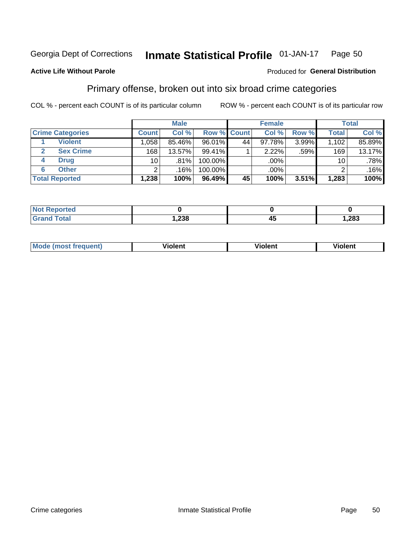#### Inmate Statistical Profile 01-JAN-17 Page 50

### **Active Life Without Parole**

#### Produced for General Distribution

## Primary offense, broken out into six broad crime categories

COL % - percent each COUNT is of its particular column

|                         |                 | <b>Male</b> |         |             | <b>Female</b> |       |              | <b>Total</b> |
|-------------------------|-----------------|-------------|---------|-------------|---------------|-------|--------------|--------------|
| <b>Crime Categories</b> | <b>Count</b>    | Col %       |         | Row % Count | Col %         | Row % | <b>Total</b> | Col %        |
| <b>Violent</b>          | .058            | 85.46%      | 96.01%  | 44          | 97.78%        | 3.99% | 1,102        | 85.89%       |
| <b>Sex Crime</b>        | 168             | 13.57%      | 99.41%  |             | 2.22%         | .59%  | 169          | 13.17%       |
| <b>Drug</b><br>4        | 10 <sup>1</sup> | .81%        | 100.00% |             | .00%          |       | 10           | $.78\%$      |
| <b>Other</b><br>6       | ົ               | .16%        | 100.00% |             | .00%          |       |              | .16%         |
| <b>Total Reported</b>   | 1,238           | 100%        | 96.49%  | 45          | 100%          | 3.51% | 1,283        | 100%         |

| <b>Not Reported</b> |      |      |  |
|---------------------|------|------|--|
| $T \cap f \cap f$   | ,238 | ,283 |  |

| <b>Mode (most frequent)</b> | <br>'iolent | Violent | --<br><b>Violent</b> |
|-----------------------------|-------------|---------|----------------------|
|                             |             |         |                      |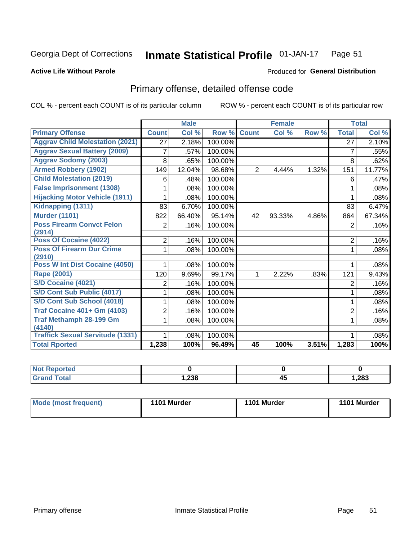#### Inmate Statistical Profile 01-JAN-17 Page 51

#### **Active Life Without Parole**

#### Produced for General Distribution

## Primary offense, detailed offense code

COL % - percent each COUNT is of its particular column

|                                            |                | <b>Male</b> |         |                | <b>Female</b> |       |                | <b>Total</b> |
|--------------------------------------------|----------------|-------------|---------|----------------|---------------|-------|----------------|--------------|
| <b>Primary Offense</b>                     | <b>Count</b>   | Col %       | Row %   | <b>Count</b>   | Col %         | Row % | <b>Total</b>   | Col %        |
| <b>Aggrav Child Molestation (2021)</b>     | 27             | 2.18%       | 100.00% |                |               |       | 27             | 2.10%        |
| <b>Aggrav Sexual Battery (2009)</b>        | 7              | .57%        | 100.00% |                |               |       | $\overline{7}$ | .55%         |
| <b>Aggrav Sodomy (2003)</b>                | 8              | .65%        | 100.00% |                |               |       | 8              | .62%         |
| <b>Armed Robbery (1902)</b>                | 149            | 12.04%      | 98.68%  | $\overline{2}$ | 4.44%         | 1.32% | 151            | 11.77%       |
| <b>Child Molestation (2019)</b>            | 6              | .48%        | 100.00% |                |               |       | 6              | .47%         |
| <b>False Imprisonment (1308)</b>           |                | .08%        | 100.00% |                |               |       |                | .08%         |
| <b>Hijacking Motor Vehicle (1911)</b>      |                | .08%        | 100.00% |                |               |       |                | .08%         |
| Kidnapping (1311)                          | 83             | 6.70%       | 100.00% |                |               |       | 83             | 6.47%        |
| <b>Murder (1101)</b>                       | 822            | 66.40%      | 95.14%  | 42             | 93.33%        | 4.86% | 864            | 67.34%       |
| <b>Poss Firearm Convct Felon</b>           | $\overline{2}$ | .16%        | 100.00% |                |               |       | 2              | .16%         |
| (2914)                                     |                |             |         |                |               |       |                |              |
| Poss Of Cocaine (4022)                     | $\overline{2}$ | .16%        | 100.00% |                |               |       | $\overline{2}$ | .16%         |
| <b>Poss Of Firearm Dur Crime</b><br>(2910) | 1.             | .08%        | 100.00% |                |               |       | 1              | .08%         |
| Poss W Int Dist Cocaine (4050)             |                | .08%        | 100.00% |                |               |       |                | .08%         |
| Rape (2001)                                | 120            | 9.69%       | 99.17%  | 1              | 2.22%         | .83%  | 121            | 9.43%        |
| <b>S/D Cocaine (4021)</b>                  | 2              | .16%        | 100.00% |                |               |       | $\overline{2}$ | .16%         |
| S/D Cont Sub Public (4017)                 |                | .08%        | 100.00% |                |               |       |                | .08%         |
| S/D Cont Sub School (4018)                 |                | .08%        | 100.00% |                |               |       | 1              | .08%         |
| <b>Traf Cocaine 401+ Gm (4103)</b>         | $\overline{c}$ | .16%        | 100.00% |                |               |       | $\overline{2}$ | .16%         |
| <b>Traf Methamph 28-199 Gm</b>             | 1.             | .08%        | 100.00% |                |               |       | 1              | .08%         |
| (4140)                                     |                |             |         |                |               |       |                |              |
| <b>Traffick Sexual Servitude (1331)</b>    | $\mathbf{1}$   | .08%        | 100.00% |                |               |       | 1              | .08%         |
| <b>Total Rported</b>                       | 1,238          | 100%        | 96.49%  | 45             | 100%          | 3.51% | 1,283          | 100%         |

| <b>eported</b> |               |    |       |
|----------------|---------------|----|-------|
| <b>otal</b>    | റാറ<br>530. ا | 43 | 1,283 |

| Mode (most frequent) | 1101 Murder | 1101 Murder | 1101 Murder |
|----------------------|-------------|-------------|-------------|
|                      |             |             |             |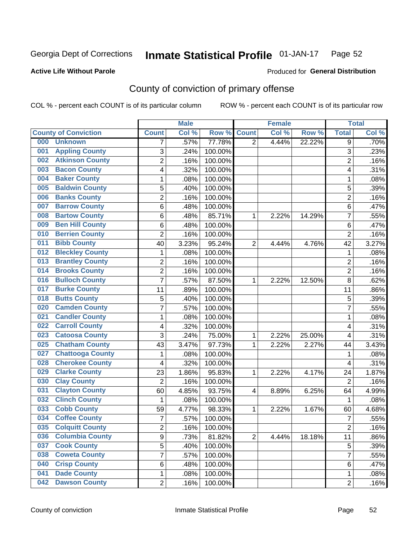#### Inmate Statistical Profile 01-JAN-17 Page 52

#### **Active Life Without Parole**

#### Produced for General Distribution

## County of conviction of primary offense

COL % - percent each COUNT is of its particular column

|                                |                | <b>Male</b> |         |                | <b>Female</b> |        |                | <b>Total</b> |
|--------------------------------|----------------|-------------|---------|----------------|---------------|--------|----------------|--------------|
| <b>County of Conviction</b>    | <b>Count</b>   | Col %       | Row %   | <b>Count</b>   | Col %         | Row %  | <b>Total</b>   | Col %        |
| 000<br><b>Unknown</b>          | 7              | .57%        | 77.78%  | $\overline{2}$ | 4.44%         | 22.22% | 9              | .70%         |
| <b>Appling County</b><br>001   | 3              | .24%        | 100.00% |                |               |        | 3              | .23%         |
| <b>Atkinson County</b><br>002  | $\overline{c}$ | .16%        | 100.00% |                |               |        | $\overline{2}$ | .16%         |
| <b>Bacon County</b><br>003     | 4              | .32%        | 100.00% |                |               |        | 4              | .31%         |
| <b>Baker County</b><br>004     | $\mathbf{1}$   | .08%        | 100.00% |                |               |        | 1              | .08%         |
| <b>Baldwin County</b><br>005   | 5              | .40%        | 100.00% |                |               |        | 5              | .39%         |
| <b>Banks County</b><br>006     | $\overline{c}$ | .16%        | 100.00% |                |               |        | $\overline{2}$ | .16%         |
| <b>Barrow County</b><br>007    | 6              | .48%        | 100.00% |                |               |        | 6              | .47%         |
| <b>Bartow County</b><br>008    | 6              | .48%        | 85.71%  | 1              | 2.22%         | 14.29% | $\overline{7}$ | .55%         |
| <b>Ben Hill County</b><br>009  | 6              | .48%        | 100.00% |                |               |        | 6              | .47%         |
| <b>Berrien County</b><br>010   | $\overline{2}$ | .16%        | 100.00% |                |               |        | $\overline{2}$ | .16%         |
| <b>Bibb County</b><br>011      | 40             | 3.23%       | 95.24%  | $\overline{2}$ | 4.44%         | 4.76%  | 42             | 3.27%        |
| <b>Bleckley County</b><br>012  | $\mathbf{1}$   | .08%        | 100.00% |                |               |        | $\mathbf{1}$   | .08%         |
| <b>Brantley County</b><br>013  | $\overline{2}$ | .16%        | 100.00% |                |               |        | $\overline{2}$ | .16%         |
| <b>Brooks County</b><br>014    | $\overline{c}$ | .16%        | 100.00% |                |               |        | $\overline{2}$ | .16%         |
| <b>Bulloch County</b><br>016   | $\overline{7}$ | .57%        | 87.50%  | 1              | 2.22%         | 12.50% | 8              | .62%         |
| <b>Burke County</b><br>017     | 11             | .89%        | 100.00% |                |               |        | 11             | .86%         |
| <b>Butts County</b><br>018     | 5              | .40%        | 100.00% |                |               |        | 5              | .39%         |
| <b>Camden County</b><br>020    | $\overline{7}$ | .57%        | 100.00% |                |               |        | $\overline{7}$ | .55%         |
| <b>Candler County</b><br>021   | $\mathbf{1}$   | .08%        | 100.00% |                |               |        | $\mathbf{1}$   | .08%         |
| <b>Carroll County</b><br>022   | 4              | .32%        | 100.00% |                |               |        | 4              | .31%         |
| <b>Catoosa County</b><br>023   | 3              | .24%        | 75.00%  | 1              | 2.22%         | 25.00% | 4              | .31%         |
| <b>Chatham County</b><br>025   | 43             | 3.47%       | 97.73%  | 1              | 2.22%         | 2.27%  | 44             | 3.43%        |
| <b>Chattooga County</b><br>027 | 1              | .08%        | 100.00% |                |               |        | 1              | .08%         |
| <b>Cherokee County</b><br>028  | 4              | .32%        | 100.00% |                |               |        | 4              | .31%         |
| <b>Clarke County</b><br>029    | 23             | 1.86%       | 95.83%  | 1              | 2.22%         | 4.17%  | 24             | 1.87%        |
| <b>Clay County</b><br>030      | $\overline{2}$ | .16%        | 100.00% |                |               |        | $\overline{2}$ | .16%         |
| <b>Clayton County</b><br>031   | 60             | 4.85%       | 93.75%  | 4              | 8.89%         | 6.25%  | 64             | 4.99%        |
| <b>Clinch County</b><br>032    | $\mathbf{1}$   | .08%        | 100.00% |                |               |        | $\mathbf{1}$   | .08%         |
| <b>Cobb County</b><br>033      | 59             | 4.77%       | 98.33%  | 1              | 2.22%         | 1.67%  | 60             | 4.68%        |
| <b>Coffee County</b><br>034    | $\overline{7}$ | .57%        | 100.00% |                |               |        | $\overline{7}$ | .55%         |
| 035<br><b>Colquitt County</b>  | 2              | .16%        | 100.00% |                |               |        | 2              | .16%         |
| <b>Columbia County</b><br>036  | 9              | .73%        | 81.82%  | $\overline{2}$ | 4.44%         | 18.18% | 11             | .86%         |
| <b>Cook County</b><br>037      | 5              | .40%        | 100.00% |                |               |        | 5              | .39%         |
| <b>Coweta County</b><br>038    | $\overline{7}$ | .57%        | 100.00% |                |               |        | $\overline{7}$ | .55%         |
| <b>Crisp County</b><br>040     | 6              | .48%        | 100.00% |                |               |        | 6              | .47%         |
| <b>Dade County</b><br>041      | $\mathbf 1$    | .08%        | 100.00% |                |               |        | 1              | .08%         |
| <b>Dawson County</b><br>042    | $\overline{2}$ | .16%        | 100.00% |                |               |        | $\overline{2}$ | .16%         |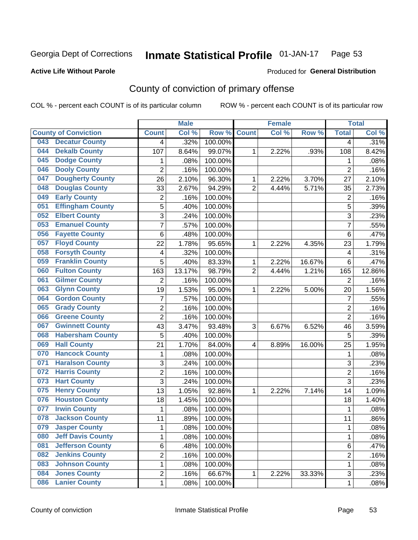#### Inmate Statistical Profile 01-JAN-17 Page 53

#### **Active Life Without Parole**

### **Produced for General Distribution**

## County of conviction of primary offense

COL % - percent each COUNT is of its particular column

|     |                             |                         | <b>Male</b> |         |                | <b>Female</b> |        |                | <b>Total</b> |
|-----|-----------------------------|-------------------------|-------------|---------|----------------|---------------|--------|----------------|--------------|
|     | <b>County of Conviction</b> | <b>Count</b>            | Col %       | Row %   | <b>Count</b>   | Col %         | Row %  | <b>Total</b>   | Col %        |
| 043 | <b>Decatur County</b>       | 4                       | .32%        | 100.00% |                |               |        | 4              | .31%         |
| 044 | <b>Dekalb County</b>        | 107                     | 8.64%       | 99.07%  | 1              | 2.22%         | .93%   | 108            | 8.42%        |
| 045 | <b>Dodge County</b>         | 1                       | .08%        | 100.00% |                |               |        | 1              | .08%         |
| 046 | <b>Dooly County</b>         | $\overline{2}$          | .16%        | 100.00% |                |               |        | $\overline{2}$ | .16%         |
| 047 | <b>Dougherty County</b>     | 26                      | 2.10%       | 96.30%  | 1              | 2.22%         | 3.70%  | 27             | 2.10%        |
| 048 | <b>Douglas County</b>       | 33                      | 2.67%       | 94.29%  | $\overline{2}$ | 4.44%         | 5.71%  | 35             | 2.73%        |
| 049 | <b>Early County</b>         | $\overline{c}$          | .16%        | 100.00% |                |               |        | $\overline{2}$ | .16%         |
| 051 | <b>Effingham County</b>     | 5                       | .40%        | 100.00% |                |               |        | 5              | .39%         |
| 052 | <b>Elbert County</b>        | 3                       | .24%        | 100.00% |                |               |        | 3              | .23%         |
| 053 | <b>Emanuel County</b>       | $\overline{7}$          | .57%        | 100.00% |                |               |        | 7              | .55%         |
| 056 | <b>Fayette County</b>       | 6                       | .48%        | 100.00% |                |               |        | 6              | .47%         |
| 057 | <b>Floyd County</b>         | 22                      | 1.78%       | 95.65%  | 1              | 2.22%         | 4.35%  | 23             | 1.79%        |
| 058 | <b>Forsyth County</b>       | 4                       | .32%        | 100.00% |                |               |        | 4              | .31%         |
| 059 | <b>Franklin County</b>      | 5                       | .40%        | 83.33%  | 1              | 2.22%         | 16.67% | 6              | .47%         |
| 060 | <b>Fulton County</b>        | 163                     | 13.17%      | 98.79%  | $\overline{2}$ | 4.44%         | 1.21%  | 165            | 12.86%       |
| 061 | <b>Gilmer County</b>        | $\overline{2}$          | .16%        | 100.00% |                |               |        | $\overline{2}$ | .16%         |
| 063 | <b>Glynn County</b>         | 19                      | 1.53%       | 95.00%  | 1              | 2.22%         | 5.00%  | 20             | 1.56%        |
| 064 | <b>Gordon County</b>        | 7                       | .57%        | 100.00% |                |               |        | $\overline{7}$ | .55%         |
| 065 | <b>Grady County</b>         | $\overline{2}$          | .16%        | 100.00% |                |               |        | $\overline{2}$ | .16%         |
| 066 | <b>Greene County</b>        | $\overline{2}$          | .16%        | 100.00% |                |               |        | $\overline{2}$ | .16%         |
| 067 | <b>Gwinnett County</b>      | 43                      | 3.47%       | 93.48%  | 3              | 6.67%         | 6.52%  | 46             | 3.59%        |
| 068 | <b>Habersham County</b>     | 5                       | .40%        | 100.00% |                |               |        | 5              | .39%         |
| 069 | <b>Hall County</b>          | 21                      | 1.70%       | 84.00%  | 4              | 8.89%         | 16.00% | 25             | 1.95%        |
| 070 | <b>Hancock County</b>       | 1                       | .08%        | 100.00% |                |               |        | 1              | .08%         |
| 071 | <b>Haralson County</b>      | 3                       | .24%        | 100.00% |                |               |        | 3              | .23%         |
| 072 | <b>Harris County</b>        | $\overline{2}$          | .16%        | 100.00% |                |               |        | $\overline{2}$ | .16%         |
| 073 | <b>Hart County</b>          | 3                       | .24%        | 100.00% |                |               |        | 3              | .23%         |
| 075 | <b>Henry County</b>         | 13                      | 1.05%       | 92.86%  | 1              | 2.22%         | 7.14%  | 14             | 1.09%        |
| 076 | <b>Houston County</b>       | 18                      | 1.45%       | 100.00% |                |               |        | 18             | 1.40%        |
| 077 | <b>Irwin County</b>         | $\mathbf{1}$            | .08%        | 100.00% |                |               |        | $\mathbf{1}$   | .08%         |
| 078 | <b>Jackson County</b>       | 11                      | .89%        | 100.00% |                |               |        | 11             | .86%         |
| 079 | <b>Jasper County</b>        | 1                       | .08%        | 100.00% |                |               |        | 1              | .08%         |
| 080 | <b>Jeff Davis County</b>    | 1                       | .08%        | 100.00% |                |               |        | $\mathbf{1}$   | .08%         |
| 081 | <b>Jefferson County</b>     | 6                       | .48%        | 100.00% |                |               |        | 6              | .47%         |
| 082 | <b>Jenkins County</b>       | $\overline{\mathbf{c}}$ | .16%        | 100.00% |                |               |        | $\overline{2}$ | .16%         |
| 083 | <b>Johnson County</b>       | 1                       | .08%        | 100.00% |                |               |        | $\mathbf{1}$   | .08%         |
| 084 | <b>Jones County</b>         | 2                       | .16%        | 66.67%  | $\mathbf{1}$   | 2.22%         | 33.33% | 3              | .23%         |
| 086 | <b>Lanier County</b>        | $\mathbf 1$             | .08%        | 100.00% |                |               |        | $\mathbf 1$    | .08%         |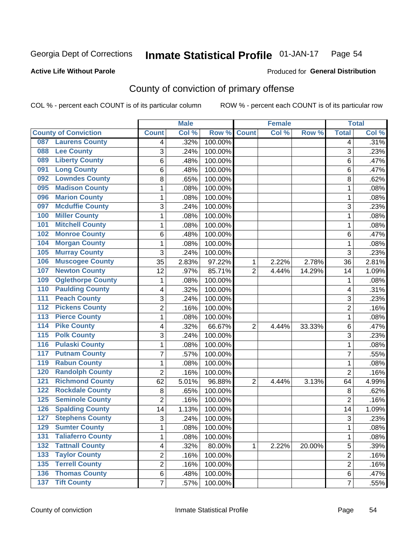#### **Inmate Statistical Profile 01-JAN-17** Page 54

#### **Active Life Without Parole**

#### Produced for General Distribution

## County of conviction of primary offense

COL % - percent each COUNT is of its particular column

|                                            |                | <b>Male</b> |         |                | <b>Female</b> |        |                | <b>Total</b> |
|--------------------------------------------|----------------|-------------|---------|----------------|---------------|--------|----------------|--------------|
| <b>County of Conviction</b>                | <b>Count</b>   | Col %       | Row %   | <b>Count</b>   | Col %         | Row %  | <b>Total</b>   | Col %        |
| <b>Laurens County</b><br>087               | 4              | .32%        | 100.00% |                |               |        | 4              | .31%         |
| <b>Lee County</b><br>088                   | 3              | .24%        | 100.00% |                |               |        | 3              | .23%         |
| <b>Liberty County</b><br>089               | 6              | .48%        | 100.00% |                |               |        | 6              | .47%         |
| <b>Long County</b><br>091                  | 6              | .48%        | 100.00% |                |               |        | 6              | .47%         |
| <b>Lowndes County</b><br>092               | 8              | .65%        | 100.00% |                |               |        | 8              | .62%         |
| <b>Madison County</b><br>095               | 1              | .08%        | 100.00% |                |               |        | $\mathbf{1}$   | .08%         |
| <b>Marion County</b><br>096                | 1              | .08%        | 100.00% |                |               |        | 1              | .08%         |
| <b>Mcduffie County</b><br>097              | 3              | .24%        | 100.00% |                |               |        | 3              | .23%         |
| <b>Miller County</b><br>100                | 1              | .08%        | 100.00% |                |               |        | $\mathbf{1}$   | .08%         |
| <b>Mitchell County</b><br>101              | 1              | .08%        | 100.00% |                |               |        | $\mathbf{1}$   | .08%         |
| <b>Monroe County</b><br>102                | 6              | .48%        | 100.00% |                |               |        | 6              | .47%         |
| <b>Morgan County</b><br>104                | 1              | .08%        | 100.00% |                |               |        | $\mathbf{1}$   | .08%         |
| <b>Murray County</b><br>105                | 3              | .24%        | 100.00% |                |               |        | 3              | .23%         |
| <b>Muscogee County</b><br>106              | 35             | 2.83%       | 97.22%  | 1              | 2.22%         | 2.78%  | 36             | 2.81%        |
| <b>Newton County</b><br>107                | 12             | .97%        | 85.71%  | $\overline{2}$ | 4.44%         | 14.29% | 14             | 1.09%        |
| <b>Oglethorpe County</b><br>109            | 1              | .08%        | 100.00% |                |               |        | 1              | .08%         |
| <b>Paulding County</b><br>110              | 4              | .32%        | 100.00% |                |               |        | 4              | .31%         |
| <b>Peach County</b><br>111                 | 3              | .24%        | 100.00% |                |               |        | 3              | .23%         |
| <b>Pickens County</b><br>$\overline{112}$  | 2              | .16%        | 100.00% |                |               |        | $\overline{2}$ | .16%         |
| <b>Pierce County</b><br>113                | 1              | .08%        | 100.00% |                |               |        | $\mathbf{1}$   | .08%         |
| <b>Pike County</b><br>114                  | 4              | .32%        | 66.67%  | $\overline{2}$ | 4.44%         | 33.33% | 6              | .47%         |
| 115<br><b>Polk County</b>                  | 3              | .24%        | 100.00% |                |               |        | 3              | .23%         |
| <b>Pulaski County</b><br>$\overline{116}$  | 1              | .08%        | 100.00% |                |               |        | $\mathbf{1}$   | .08%         |
| <b>Putnam County</b><br>117                | 7              | .57%        | 100.00% |                |               |        | $\overline{7}$ | .55%         |
| <b>Rabun County</b><br>119                 | 1              | .08%        | 100.00% |                |               |        | 1              | .08%         |
| <b>Randolph County</b><br>120              | $\overline{2}$ | .16%        | 100.00% |                |               |        | $\overline{2}$ | .16%         |
| <b>Richmond County</b><br>121              | 62             | 5.01%       | 96.88%  | 2              | 4.44%         | 3.13%  | 64             | 4.99%        |
| <b>Rockdale County</b><br>122              | 8              | .65%        | 100.00% |                |               |        | 8              | .62%         |
| <b>Seminole County</b><br>125              | 2              | .16%        | 100.00% |                |               |        | $\overline{2}$ | .16%         |
| <b>Spalding County</b><br>126              | 14             | 1.13%       | 100.00% |                |               |        | 14             | 1.09%        |
| <b>Stephens County</b><br>127              | 3              | .24%        | 100.00% |                |               |        | 3              | .23%         |
| <b>Sumter County</b><br>129                | 1              | .08%        | 100.00% |                |               |        | 1              | .08%         |
| <b>Taliaferro County</b><br>131            | 1              | .08%        | 100.00% |                |               |        | $\mathbf{1}$   | .08%         |
| <b>Tattnall County</b><br>$\overline{132}$ | 4              | .32%        | 80.00%  | 1              | 2.22%         | 20.00% | 5              | .39%         |
| <b>Taylor County</b><br>133                | 2              | .16%        | 100.00% |                |               |        | 2              | .16%         |
| <b>Terrell County</b><br>135               | $\overline{2}$ | .16%        | 100.00% |                |               |        | $\overline{2}$ | .16%         |
| <b>Thomas County</b><br>136                | 6              | .48%        | 100.00% |                |               |        | 6              | .47%         |
| 137 Tift County                            | $\overline{7}$ | .57%        | 100.00% |                |               |        | $\overline{7}$ | .55%         |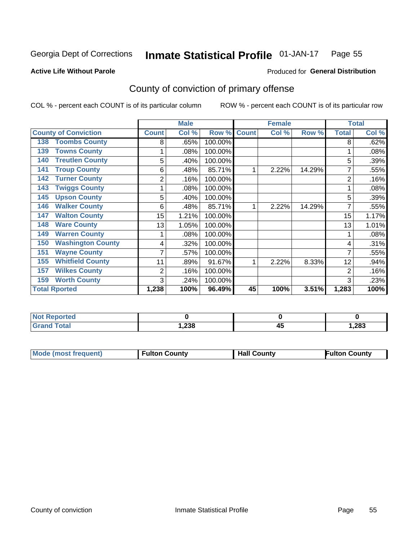#### Inmate Statistical Profile 01-JAN-17 Page 55

**Active Life Without Parole** 

Produced for General Distribution

## County of conviction of primary offense

COL % - percent each COUNT is of its particular column

|                                 |              | <b>Male</b> |         |              | <b>Female</b> |        |                | <b>Total</b> |
|---------------------------------|--------------|-------------|---------|--------------|---------------|--------|----------------|--------------|
| <b>County of Conviction</b>     | <b>Count</b> | Col %       | Row %   | <b>Count</b> | Col %         | Row %  | <b>Total</b>   | Col %        |
| <b>Toombs County</b><br>138     | 8            | .65%        | 100.00% |              |               |        | 8              | .62%         |
| <b>Towns County</b><br>139      |              | .08%        | 100.00% |              |               |        |                | .08%         |
| <b>Treutlen County</b><br>140   | 5            | .40%        | 100.00% |              |               |        | 5              | .39%         |
| <b>Troup County</b><br>141      | 6            | .48%        | 85.71%  |              | 2.22%         | 14.29% |                | .55%         |
| <b>Turner County</b><br>142     | 2            | .16%        | 100.00% |              |               |        | $\overline{2}$ | .16%         |
| <b>Twiggs County</b><br>143     |              | .08%        | 100.00% |              |               |        |                | .08%         |
| <b>Upson County</b><br>145      | 5            | .40%        | 100.00% |              |               |        | 5              | .39%         |
| <b>Walker County</b><br>146     | 6            | .48%        | 85.71%  |              | 2.22%         | 14.29% |                | .55%         |
| <b>Walton County</b><br>147     | 15           | 1.21%       | 100.00% |              |               |        | 15             | 1.17%        |
| <b>Ware County</b><br>148       | 13           | 1.05%       | 100.00% |              |               |        | 13             | 1.01%        |
| <b>Warren County</b><br>149     |              | .08%        | 100.00% |              |               |        |                | .08%         |
| <b>Washington County</b><br>150 | 4            | .32%        | 100.00% |              |               |        | 4              | .31%         |
| <b>Wayne County</b><br>151      |              | .57%        | 100.00% |              |               |        | 7              | .55%         |
| <b>Whitfield County</b><br>155  | 11           | .89%        | 91.67%  | 4            | 2.22%         | 8.33%  | 12             | .94%         |
| <b>Wilkes County</b><br>157     | 2            | .16%        | 100.00% |              |               |        | $\overline{2}$ | .16%         |
| <b>Worth County</b><br>159      | 3            | .24%        | 100.00% |              |               |        | 3              | .23%         |
| <b>Total Rported</b>            | 1,238        | 100%        | 96.49%  | 45           | 100%          | 3.51%  | 1,283          | 100%         |

| <b>Not Reported</b> |       |    |       |
|---------------------|-------|----|-------|
| Total               | 238,، | ≖⊷ | 1,283 |

| <b>Mode (most frequent)</b> | <b>Fulton County</b> | <b>Hall County</b> | Fulton County |
|-----------------------------|----------------------|--------------------|---------------|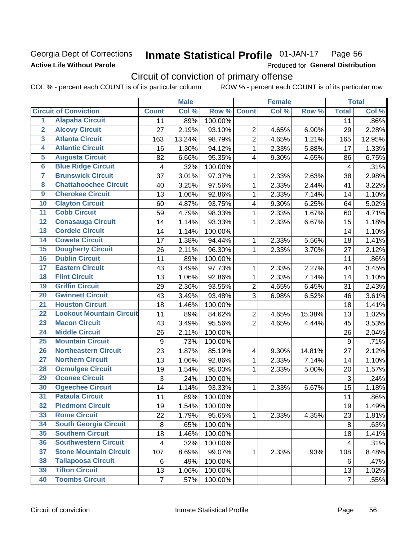## Georgia Dept of Corrections **Active Life Without Parole**

#### Inmate Statistical Profile 01-JAN-17 Page 56

Produced for General Distribution

## Circuit of conviction of primary offense

COL % - percent each COUNT is of its particular column ROW % - percent each COUNT is of its particular row

|                         |                                 | <b>Male</b>      |        | <b>Female</b> |                |       | <b>Total</b> |                  |        |
|-------------------------|---------------------------------|------------------|--------|---------------|----------------|-------|--------------|------------------|--------|
|                         | <b>Circuit of Conviction</b>    | <b>Count</b>     | Col %  | Row %         | <b>Count</b>   | Col % | Row %        | <b>Total</b>     | Col %  |
| $\overline{1}$          | <b>Alapaha Circuit</b>          | 11               | .89%   | 100.00%       |                |       |              | 11               | .86%   |
| $\overline{2}$          | <b>Alcovy Circuit</b>           | 27               | 2.19%  | 93.10%        | $\overline{2}$ | 4.65% | 6.90%        | 29               | 2.28%  |
| $\overline{\mathbf{3}}$ | <b>Atlanta Circuit</b>          | 163              | 13.24% | 98.79%        | $\overline{2}$ | 4.65% | 1.21%        | 165              | 12.95% |
| 4                       | <b>Atlantic Circuit</b>         | 16               | 1.30%  | 94.12%        | 1              | 2.33% | 5.88%        | 17               | 1.33%  |
| 5                       | <b>Augusta Circuit</b>          | 82               | 6.66%  | 95.35%        | $\overline{4}$ | 9.30% | 4.65%        | 86               | 6.75%  |
| $\overline{6}$          | <b>Blue Ridge Circuit</b>       | 4                | .32%   | 100.00%       |                |       |              | 4                | .31%   |
| 7                       | <b>Brunswick Circuit</b>        | 37               | 3.01%  | 97.37%        | 1              | 2.33% | 2.63%        | 38               | 2.98%  |
| 8                       | <b>Chattahoochee Circuit</b>    | 40               | 3.25%  | 97.56%        | 1              | 2.33% | 2.44%        | 41               | 3.22%  |
| $\overline{9}$          | <b>Cherokee Circuit</b>         | 13               | 1.06%  | 92.86%        | 1              | 2.33% | 7.14%        | 14               | 1.10%  |
| 10                      | <b>Clayton Circuit</b>          | 60               | 4.87%  | 93.75%        | 4              | 9.30% | 6.25%        | 64               | 5.02%  |
| $\overline{11}$         | <b>Cobb Circuit</b>             | 59               | 4.79%  | 98.33%        | 1              | 2.33% | 1.67%        | 60               | 4.71%  |
| $\overline{12}$         | <b>Conasauga Circuit</b>        | 14               | 1.14%  | 93.33%        | 1              | 2.33% | 6.67%        | 15               | 1.18%  |
| 13                      | <b>Cordele Circuit</b>          | 14               | 1.14%  | 100.00%       |                |       |              | 14               | 1.10%  |
| $\overline{14}$         | <b>Coweta Circuit</b>           | 17               | 1.38%  | 94.44%        | 1              | 2.33% | 5.56%        | 18               | 1.41%  |
| $\overline{15}$         | <b>Dougherty Circuit</b>        | 26               | 2.11%  | 96.30%        | $\mathbf{1}$   | 2.33% | 3.70%        | 27               | 2.12%  |
| 16                      | <b>Dublin Circuit</b>           | 11               | .89%   | 100.00%       |                |       |              | 11               | .86%   |
| 17                      | <b>Eastern Circuit</b>          | 43               | 3.49%  | 97.73%        | 1              | 2.33% | 2.27%        | 44               | 3.45%  |
| 18                      | <b>Flint Circuit</b>            | 13               | 1.06%  | 92.86%        | 1              | 2.33% | 7.14%        | 14               | 1.10%  |
| 19                      | <b>Griffin Circuit</b>          | 29               | 2.36%  | 93.55%        | $\overline{2}$ | 4.65% | 6.45%        | 31               | 2.43%  |
| 20                      | <b>Gwinnett Circuit</b>         | 43               | 3.49%  | 93.48%        | 3              | 6.98% | 6.52%        | 46               | 3.61%  |
| $\overline{21}$         | <b>Houston Circuit</b>          | 18               | 1.46%  | 100.00%       |                |       |              | 18               | 1.41%  |
| $\overline{22}$         | <b>Lookout Mountain Circuit</b> | 11               | .89%   | 84.62%        | $\overline{2}$ | 4.65% | 15.38%       | 13               | 1.02%  |
| 23                      | <b>Macon Circuit</b>            | 43               | 3.49%  | 95.56%        | $\overline{2}$ | 4.65% | 4.44%        | 45               | 3.53%  |
| $\overline{24}$         | <b>Middle Circuit</b>           | 26               | 2.11%  | 100.00%       |                |       |              | 26               | 2.04%  |
| $\overline{25}$         | <b>Mountain Circuit</b>         | $\boldsymbol{9}$ | .73%   | 100.00%       |                |       |              | $\boldsymbol{9}$ | .71%   |
| 26                      | <b>Northeastern Circuit</b>     | 23               | 1.87%  | 85.19%        | 4              | 9.30% | 14.81%       | 27               | 2.12%  |
| $\overline{27}$         | <b>Northern Circuit</b>         | 13               | 1.06%  | 92.86%        | 1              | 2.33% | 7.14%        | 14               | 1.10%  |
| 28                      | <b>Ocmulgee Circuit</b>         | 19               | 1.54%  | 95.00%        | 1              | 2.33% | 5.00%        | 20               | 1.57%  |
| 29                      | <b>Oconee Circuit</b>           | 3                | .24%   | 100.00%       |                |       |              | 3                | .24%   |
| 30                      | <b>Ogeechee Circuit</b>         | 14               | 1.14%  | 93.33%        | 1              | 2.33% | 6.67%        | 15               | 1.18%  |
| $\overline{31}$         | <b>Pataula Circuit</b>          | 11               | .89%   | 100.00%       |                |       |              | 11               | .86%   |
| 32                      | <b>Piedmont Circuit</b>         | 19               | 1.54%  | 100.00%       |                |       |              | 19               | 1.49%  |
| 33                      | <b>Rome Circuit</b>             | 22               | 1.79%  | 95.65%        | $\mathbf{1}$   | 2.33% | 4.35%        | 23               | 1.81%  |
| 34                      | <b>South Georgia Circuit</b>    | 8                | .65%   | 100.00%       |                |       |              | 8                | .63%   |
| 35                      | <b>Southern Circuit</b>         | 18               | 1.46%  | 100.00%       |                |       |              | 18               | 1.41%  |
| 36                      | <b>Southwestern Circuit</b>     | 4                | .32%   | 100.00%       |                |       |              | 4                | .31%   |
| 37                      | <b>Stone Mountain Circuit</b>   | 107              | 8.69%  | 99.07%        | 1              | 2.33% | .93%         | 108              | 8.48%  |
| 38                      | <b>Tallapoosa Circuit</b>       | 6                | .49%   | 100.00%       |                |       |              | 6                | .47%   |
| 39                      | <b>Tifton Circuit</b>           | 13               | 1.06%  | 100.00%       |                |       |              | 13               | 1.02%  |
| 40                      | <b>Toombs Circuit</b>           | $\overline{7}$   | .57%   | 100.00%       |                |       |              | $\overline{7}$   | .55%   |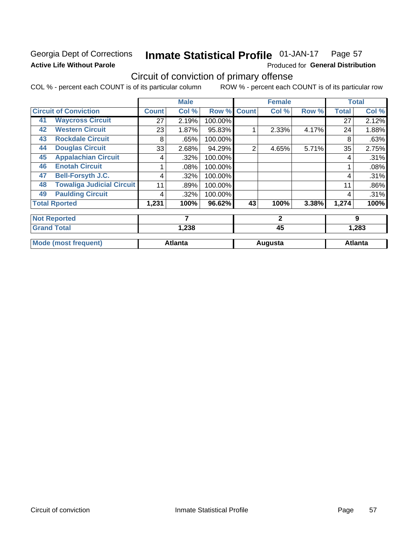## Georgia Dept of Corrections **Active Life Without Parole**

#### **Inmate Statistical Profile 01-JAN-17** Page 57

Produced for General Distribution

## Circuit of conviction of primary offense

COL % - percent each COUNT is of its particular column ROW % - percent each COUNT is of its particular row

|    |                                  |              | <b>Male</b>    |         |              | <b>Female</b> |       |              | <b>Total</b>   |
|----|----------------------------------|--------------|----------------|---------|--------------|---------------|-------|--------------|----------------|
|    | <b>Circuit of Conviction</b>     | <b>Count</b> | Col %          | Row %   | <b>Count</b> | Col %         | Row % | <b>Total</b> | Col %          |
| 41 | <b>Waycross Circuit</b>          | 27           | 2.19%          | 100.00% |              |               |       | 27           | 2.12%          |
| 42 | <b>Western Circuit</b>           | 23           | 1.87%          | 95.83%  |              | 2.33%         | 4.17% | 24           | 1.88%          |
| 43 | <b>Rockdale Circuit</b>          | 8            | .65%           | 100.00% |              |               |       | 8            | .63%           |
| 44 | <b>Douglas Circuit</b>           | 33           | 2.68%          | 94.29%  | 2            | 4.65%         | 5.71% | 35           | 2.75%          |
| 45 | <b>Appalachian Circuit</b>       | 4            | .32%           | 100.00% |              |               |       | 4            | .31%           |
| 46 | <b>Enotah Circuit</b>            |              | .08%           | 100.00% |              |               |       |              | .08%           |
| 47 | <b>Bell-Forsyth J.C.</b>         | 4            | .32%           | 100.00% |              |               |       | 4            | .31%           |
| 48 | <b>Towaliga Judicial Circuit</b> | 11           | .89%           | 100.00% |              |               |       | 11           | .86%           |
| 49 | <b>Paulding Circuit</b>          | 4            | .32%           | 100.00% |              |               |       | 4            | .31%           |
|    | <b>Total Rported</b>             | 1,231        | 100%           | 96.62%  | 43           | 100%          | 3.38% | 1,274        | 100%           |
|    | <b>Not Reported</b>              |              | 7              |         |              | $\mathbf{2}$  |       |              | 9              |
|    | <b>Grand Total</b>               |              | 1,238          |         |              | 45            |       |              | 1,283          |
|    | <b>Mode (most frequent)</b>      |              | <b>Atlanta</b> |         |              | Augusta       |       |              | <b>Atlanta</b> |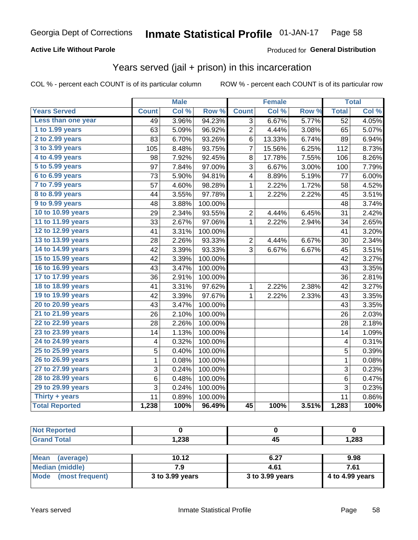### **Active Life Without Parole**

### Produced for General Distribution

## Years served (jail + prison) in this incarceration

COL % - percent each COUNT is of its particular column

|                       |              | <b>Male</b> |                  |              | <b>Female</b> |       |                 | <b>Total</b> |
|-----------------------|--------------|-------------|------------------|--------------|---------------|-------|-----------------|--------------|
| <b>Years Served</b>   | <b>Count</b> | Col %       | Row <sup>%</sup> | <b>Count</b> | Col %         | Row % | <b>Total</b>    | Col %        |
| Less than one year    | 49           | 3.96%       | 94.23%           | 3            | 6.67%         | 5.77% | $\overline{52}$ | 4.05%        |
| 1 to 1.99 years       | 63           | 5.09%       | 96.92%           | 2            | 4.44%         | 3.08% | 65              | 5.07%        |
| 2 to 2.99 years       | 83           | 6.70%       | 93.26%           | 6            | 13.33%        | 6.74% | 89              | 6.94%        |
| 3 to 3.99 years       | 105          | 8.48%       | 93.75%           | 7            | 15.56%        | 6.25% | 112             | 8.73%        |
| 4 to 4.99 years       | 98           | 7.92%       | 92.45%           | 8            | 17.78%        | 7.55% | 106             | 8.26%        |
| 5 to 5.99 years       | 97           | 7.84%       | 97.00%           | 3            | 6.67%         | 3.00% | 100             | 7.79%        |
| 6 to 6.99 years       | 73           | 5.90%       | 94.81%           | 4            | 8.89%         | 5.19% | 77              | 6.00%        |
| 7 to 7.99 years       | 57           | 4.60%       | 98.28%           | 1            | 2.22%         | 1.72% | 58              | 4.52%        |
| 8 to 8.99 years       | 44           | 3.55%       | 97.78%           | 1            | 2.22%         | 2.22% | 45              | 3.51%        |
| 9 to 9.99 years       | 48           | 3.88%       | 100.00%          |              |               |       | 48              | 3.74%        |
| 10 to 10.99 years     | 29           | 2.34%       | 93.55%           | 2            | 4.44%         | 6.45% | 31              | 2.42%        |
| 11 to 11.99 years     | 33           | 2.67%       | 97.06%           | 1            | 2.22%         | 2.94% | 34              | 2.65%        |
| 12 to 12.99 years     | 41           | 3.31%       | 100.00%          |              |               |       | 41              | 3.20%        |
| 13 to 13.99 years     | 28           | 2.26%       | 93.33%           | 2            | 4.44%         | 6.67% | 30              | 2.34%        |
| 14 to 14.99 years     | 42           | 3.39%       | 93.33%           | 3            | 6.67%         | 6.67% | 45              | 3.51%        |
| 15 to 15.99 years     | 42           | 3.39%       | 100.00%          |              |               |       | 42              | 3.27%        |
| 16 to 16.99 years     | 43           | 3.47%       | 100.00%          |              |               |       | 43              | 3.35%        |
| 17 to 17.99 years     | 36           | 2.91%       | 100.00%          |              |               |       | 36              | 2.81%        |
| 18 to 18.99 years     | 41           | 3.31%       | 97.62%           | 1            | 2.22%         | 2.38% | 42              | 3.27%        |
| 19 to 19.99 years     | 42           | 3.39%       | 97.67%           | $\mathbf{1}$ | 2.22%         | 2.33% | 43              | 3.35%        |
| 20 to 20.99 years     | 43           | 3.47%       | 100.00%          |              |               |       | 43              | 3.35%        |
| 21 to 21.99 years     | 26           | 2.10%       | 100.00%          |              |               |       | 26              | 2.03%        |
| 22 to 22.99 years     | 28           | 2.26%       | 100.00%          |              |               |       | 28              | 2.18%        |
| 23 to 23.99 years     | 14           | 1.13%       | 100.00%          |              |               |       | 14              | 1.09%        |
| 24 to 24.99 years     | 4            | 0.32%       | 100.00%          |              |               |       | 4               | 0.31%        |
| 25 to 25.99 years     | 5            | 0.40%       | 100.00%          |              |               |       | $\overline{5}$  | 0.39%        |
| 26 to 26.99 years     | $\mathbf 1$  | 0.08%       | 100.00%          |              |               |       | $\mathbf 1$     | 0.08%        |
| 27 to 27.99 years     | 3            | 0.24%       | 100.00%          |              |               |       | 3               | 0.23%        |
| 28 to 28.99 years     | 6            | 0.48%       | 100.00%          |              |               |       | 6               | 0.47%        |
| 29 to 29.99 years     | 3            | 0.24%       | 100.00%          |              |               |       | 3               | 0.23%        |
| Thirty + years        | 11           | 0.89%       | 100.00%          |              |               |       | 11              | 0.86%        |
| <b>Total Reported</b> | 1,238        | 100%        | 96.49%           | 45           | 100%          | 3.51% | 1,283           | 100%         |

| <b>Not Reported</b>     |                 |                 |                 |
|-------------------------|-----------------|-----------------|-----------------|
| <b>Grand Total</b>      | 1,238           | 45              | 1,283           |
|                         |                 |                 |                 |
| Mean<br>(average)       | 10.12           | 6.27            | 9.98            |
| <b>Median (middle)</b>  | 7.9             | 4.61            | 7.61            |
| Mode<br>(most frequent) | 3 to 3.99 years | 3 to 3.99 years | 4 to 4.99 years |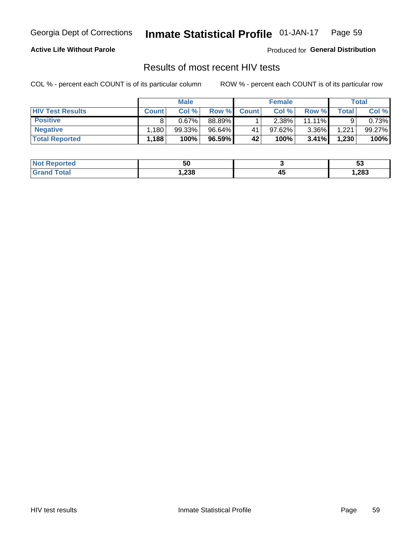#### Inmate Statistical Profile 01-JAN-17 Page 59

### **Active Life Without Parole**

Produced for General Distribution

## Results of most recent HIV tests

COL % - percent each COUNT is of its particular column

|                         | <b>Male</b>  |        |        | <b>Female</b> |        |           | Total |        |
|-------------------------|--------------|--------|--------|---------------|--------|-----------|-------|--------|
| <b>HIV Test Results</b> | <b>Count</b> | Col %  | Row %I | <b>Count</b>  | Col %  | Row %     | Total | Col %  |
| <b>Positive</b>         |              | 0.67%  | 88.89% |               | 2.38%  | $11.11\%$ |       | 0.73%  |
| <b>Negative</b>         | .180         | 99.33% | 96.64% | 41            | 97.62% | $3.36\%$  | 1.221 | 99.27% |
| <b>Total Reported</b>   | 1,188        | 100%   | 96.59% | 42            | 100%   | 3.41%     | 1,230 | 100%   |

| <b>Not Reported</b>     | 50    |          | v.    |
|-------------------------|-------|----------|-------|
| <b>cotal</b><br>$C$ ron | 238,، | . .<br>∼ | 1,283 |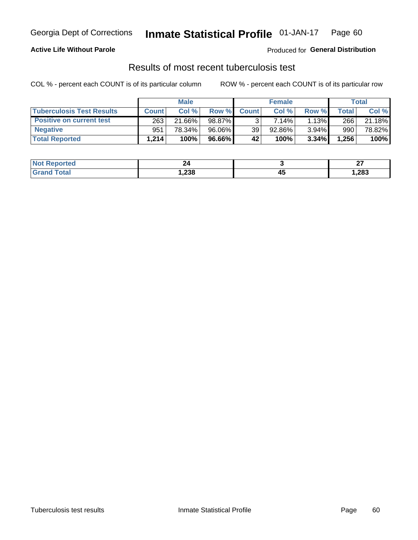## Georgia Dept of Corrections **Inmate Statistical Profile** 01-JAN-17 Page 60

### **Active Life Without Parole**

Produced for **General Distribution**

## Results of most recent tuberculosis test

COL % - percent each COUNT is of its particular column ROW % - percent each COUNT is of its particular row

|                                  |              | <b>Male</b> |        |              | <b>Female</b> |       |       | Total  |
|----------------------------------|--------------|-------------|--------|--------------|---------------|-------|-------|--------|
| <b>Tuberculosis Test Results</b> | <b>Count</b> | Col%        | Row %I | <b>Count</b> | Col%          | Row % | Total | Col %  |
| <b>Positive on current test</b>  | 263          | 21.66%      | 98.87% |              | $7.14\%$      | 1.13% | 266   | 21.18% |
| <b>Negative</b>                  | 951          | 78.34%      | 96.06% | 39           | 92.86%        | 3.94% | 990   | 78.82% |
| <b>Total Reported</b>            | 1.214        | 100%        | 96.66% | 42           | 100%          | 3.34% | 1,256 | 100%   |

| <b>Not Reported</b> | 24<br>$ -$ |           | ~-<br>-- |
|---------------------|------------|-----------|----------|
| int<br>.C.          | 238،،      | . .<br>≖∾ | 1,283    |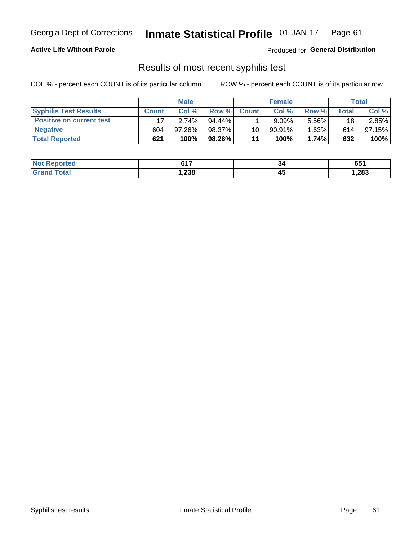## Georgia Dept of Corrections **Inmate Statistical Profile** 01-JAN-17 Page 61

### **Active Life Without Parole**

Produced for **General Distribution**

## Results of most recent syphilis test

COL % - percent each COUNT is of its particular column ROW % - percent each COUNT is of its particular row

|                                 | <b>Male</b>  |           |           | <b>Female</b>   |           |          | Total       |        |
|---------------------------------|--------------|-----------|-----------|-----------------|-----------|----------|-------------|--------|
| <b>Syphilis Test Results</b>    | <b>Count</b> | Col%      | Row %I    | <b>Count</b>    | Col%      | Row %    | $\tau$ otal | Col %  |
| <b>Positive on current test</b> |              | 2.74%     | $94.44\%$ |                 | 9.09%     | 5.56%    | 18          | 2.85%  |
| <b>Negative</b>                 | 604          | $97.26\%$ | 98.37%    | 10 <sub>1</sub> | $90.91\%$ | $1.63\%$ | 614         | 97.15% |
| <b>Total Reported</b>           | 621          | 100%      | 98.26%    | 11              | 100%      | 1.74%    | 632         | 100%   |

| <b>Not Reported</b> | <b>C47</b><br>, , , | 34 | 651   |
|---------------------|---------------------|----|-------|
| 「otal<br>. Grori    | 238, ا              | ≖∾ | 1,283 |